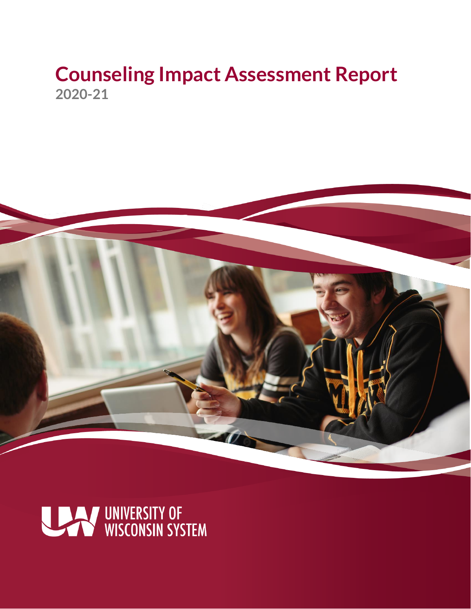# **Counseling Impact Assessment Report 2020-21**



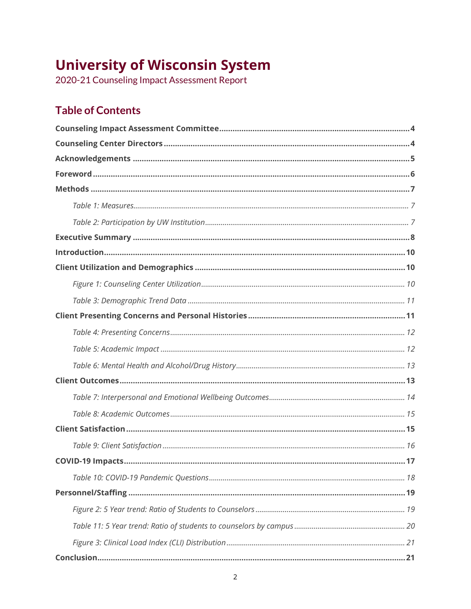# **University of Wisconsin System**<br>2020-21 Counseling Impact Assessment Report

## **Table of Contents**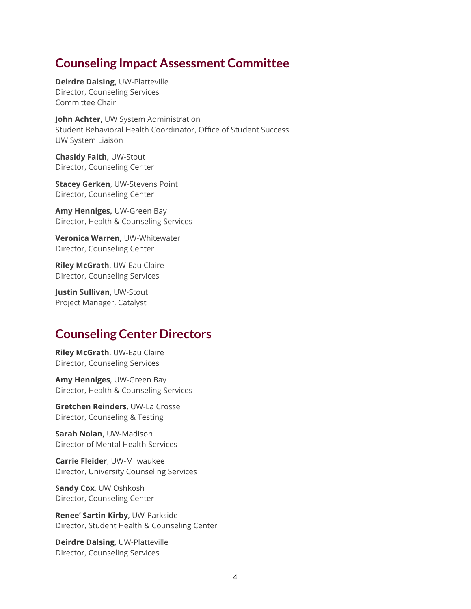## <span id="page-3-0"></span>**Counseling Impact Assessment Committee**

**Deirdre Dalsing,** UW-Platteville Director, Counseling Services Committee Chair

**John Achter,** UW System Administration Student Behavioral Health Coordinator, Office of Student Success UW System Liaison

**Chasidy Faith,** UW-Stout Director, Counseling Center

**Stacey Gerken**, UW-Stevens Point Director, Counseling Center

**Amy Henniges,** UW-Green Bay Director, Health & Counseling Services

**Veronica Warren,** UW-Whitewater Director, Counseling Center

**Riley McGrath**, UW-Eau Claire Director, Counseling Services

<span id="page-3-1"></span>**Justin Sullivan**, UW-Stout Project Manager, Catalyst

## **Counseling Center Directors**

**Riley McGrath**, UW-Eau Claire Director, Counseling Services

**Amy Henniges**, UW-Green Bay Director, Health & Counseling Services

**Gretchen Reinders**, UW-La Crosse Director, Counseling & Testing

**Sarah Nolan,** UW-Madison Director of Mental Health Services

**Carrie Fleider**, UW-Milwaukee Director, University Counseling Services

**Sandy Cox**, UW Oshkosh Director, Counseling Center

**Renee' Sartin Kirby**, UW-Parkside Director, Student Health & Counseling Center

**Deirdre Dalsing**, UW-Platteville Director, Counseling Services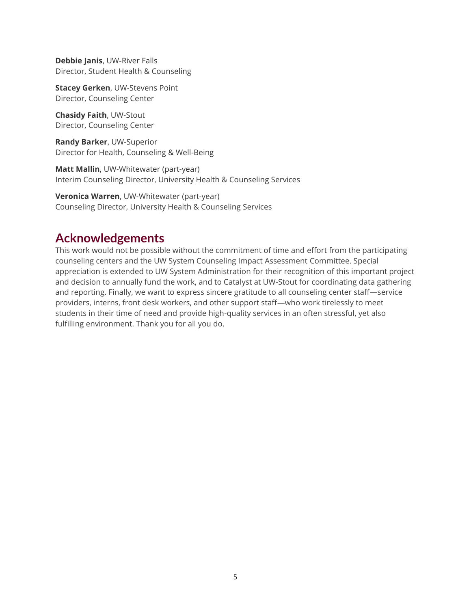**Debbie Janis**, UW-River Falls Director, Student Health & Counseling

**Stacey Gerken**, UW-Stevens Point Director, Counseling Center

**Chasidy Faith**, UW-Stout Director, Counseling Center

**Randy Barker**, UW-Superior Director for Health, Counseling & Well-Being

**Matt Mallin**, UW-Whitewater (part-year) Interim Counseling Director, University Health & Counseling Services

**Veronica Warren**, UW-Whitewater (part-year) Counseling Director, University Health & Counseling Services

## <span id="page-4-0"></span>**Acknowledgements**

This work would not be possible without the commitment of time and effort from the participating counseling centers and the UW System Counseling Impact Assessment Committee. Special appreciation is extended to UW System Administration for their recognition of this important project and decision to annually fund the work, and to Catalyst at UW-Stout for coordinating data gathering and reporting. Finally, we want to express sincere gratitude to all counseling center staff—service providers, interns, front desk workers, and other support staff—who work tirelessly to meet students in their time of need and provide high-quality services in an often stressful, yet also fulfilling environment. Thank you for all you do.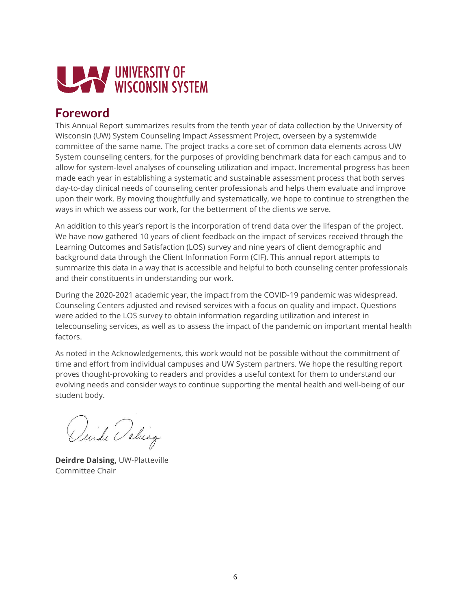

# <span id="page-5-0"></span>**Foreword**

This Annual Report summarizes results from the tenth year of data collection by the University of Wisconsin (UW) System Counseling Impact Assessment Project, overseen by a systemwide committee of the same name. The project tracks a core set of common data elements across UW System counseling centers, for the purposes of providing benchmark data for each campus and to allow for system-level analyses of counseling utilization and impact. Incremental progress has been made each year in establishing a systematic and sustainable assessment process that both serves day-to-day clinical needs of counseling center professionals and helps them evaluate and improve upon their work. By moving thoughtfully and systematically, we hope to continue to strengthen the ways in which we assess our work, for the betterment of the clients we serve.

An addition to this year's report is the incorporation of trend data over the lifespan of the project. We have now gathered 10 years of client feedback on the impact of services received through the Learning Outcomes and Satisfaction (LOS) survey and nine years of client demographic and background data through the Client Information Form (CIF). This annual report attempts to summarize this data in a way that is accessible and helpful to both counseling center professionals and their constituents in understanding our work.

During the 2020-2021 academic year, the impact from the COVID-19 pandemic was widespread. Counseling Centers adjusted and revised services with a focus on quality and impact. Questions were added to the LOS survey to obtain information regarding utilization and interest in telecounseling services, as well as to assess the impact of the pandemic on important mental health factors.

As noted in the Acknowledgements, this work would not be possible without the commitment of time and effort from individual campuses and UW System partners. We hope the resulting report proves thought-provoking to readers and provides a useful context for them to understand our evolving needs and consider ways to continue supporting the mental health and well-being of our student body.

Duide Deling

**Deirdre Dalsing,** UW-Platteville Committee Chair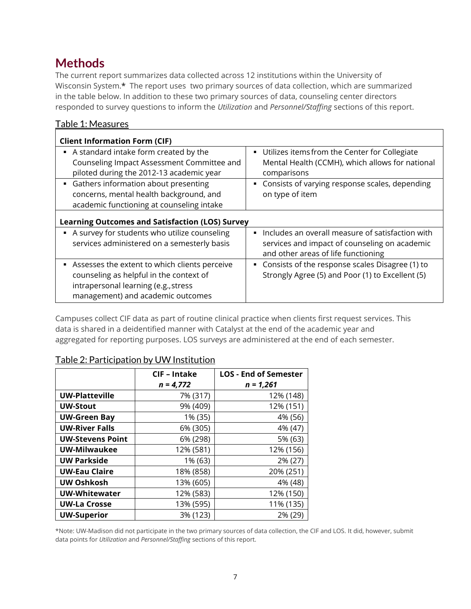# <span id="page-6-0"></span>**Methods**

The current report summarizes data collected across 12 institutions within the University of Wisconsin System.**\*** The report uses two primary sources of data collection, which are summarized in the table below. In addition to these two primary sources of data, counseling center directors responded to survey questions to inform the *Utilization* and *Personnel/Staffing* sections of this report.

#### <span id="page-6-1"></span>Table 1: Measures

| <b>Client Information Form (CIF)</b>                   |                                                                  |
|--------------------------------------------------------|------------------------------------------------------------------|
| A standard intake form created by the                  | • Utilizes items from the Center for Collegiate                  |
| Counseling Impact Assessment Committee and             | Mental Health (CCMH), which allows for national                  |
| piloted during the 2012-13 academic year               | comparisons                                                      |
| • Gathers information about presenting                 | Consists of varying response scales, depending<br>$\blacksquare$ |
| concerns, mental health background, and                | on type of item                                                  |
| academic functioning at counseling intake              |                                                                  |
| <b>Learning Outcomes and Satisfaction (LOS) Survey</b> |                                                                  |
| A survey for students who utilize counseling           | • Includes an overall measure of satisfaction with               |
| services administered on a semesterly basis            | services and impact of counseling on academic                    |
|                                                        | and other areas of life functioning                              |
| Assesses the extent to which clients perceive          | • Consists of the response scales Disagree (1) to                |
| counseling as helpful in the context of                | Strongly Agree (5) and Poor (1) to Excellent (5)                 |
| intrapersonal learning (e.g., stress                   |                                                                  |
| management) and academic outcomes                      |                                                                  |

Campuses collect CIF data as part of routine clinical practice when clients first request services. This data is shared in a deidentified manner with Catalyst at the end of the academic year and aggregated for reporting purposes. LOS surveys are administered at the end of each semester.

|                         | CIF-Intake  | <b>LOS - End of Semester</b> |
|-------------------------|-------------|------------------------------|
|                         | $n = 4,772$ | $n = 1,261$                  |
| <b>UW-Platteville</b>   | 7% (317)    | 12% (148)                    |
| <b>UW-Stout</b>         | 9% (409)    | 12% (151)                    |
| <b>UW-Green Bay</b>     | 1% (35)     | 4% (56)                      |
| <b>UW-River Falls</b>   | 6% (305)    | 4% (47)                      |
| <b>UW-Stevens Point</b> | 6% (298)    | 5% (63)                      |
| <b>UW-Milwaukee</b>     | 12% (581)   | 12% (156)                    |
| <b>UW Parkside</b>      | 1% (63)     | 2% (27)                      |
| <b>UW-Eau Claire</b>    | 18% (858)   | 20% (251)                    |
| <b>UW Oshkosh</b>       | 13% (605)   | 4% (48)                      |
| <b>UW-Whitewater</b>    | 12% (583)   | 12% (150)                    |
| <b>UW-La Crosse</b>     | 13% (595)   | 11% (135)                    |
| <b>UW-Superior</b>      | 3% (123)    | 2% (29)                      |

#### <span id="page-6-2"></span>Table 2: Participation by UW Institution

\*Note: UW-Madison did not participate in the two primary sources of data collection, the CIF and LOS. It did, however, submit data points for *Utilization* and *Personnel/Staffing* sections of this report.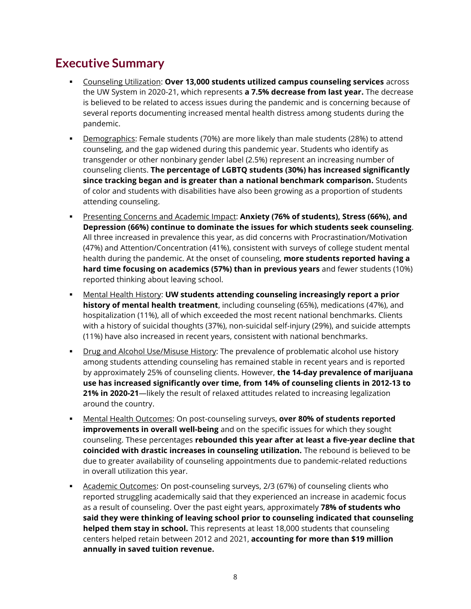# <span id="page-7-0"></span>**Executive Summary**

- Counseling Utilization: **Over 13,000 students utilized campus counseling services** across the UW System in 2020-21, which represents **a 7.5% decrease from last year.** The decrease is believed to be related to access issues during the pandemic and is concerning because of several reports documenting increased mental health distress among students during the pandemic.
- **•** Demographics: Female students (70%) are more likely than male students (28%) to attend counseling, and the gap widened during this pandemic year. Students who identify as transgender or other nonbinary gender label (2.5%) represent an increasing number of counseling clients. **The percentage of LGBTQ students (30%) has increased significantly since tracking began and is greater than a national benchmark comparison.** Students of color and students with disabilities have also been growing as a proportion of students attending counseling.
- Presenting Concerns and Academic Impact: **Anxiety (76% of students), Stress (66%), and Depression (66%) continue to dominate the issues for which students seek counseling**. All three increased in prevalence this year, as did concerns with Procrastination/Motivation (47%) and Attention/Concentration (41%), consistent with surveys of college student mental health during the pandemic. At the onset of counseling, **more students reported having a hard time focusing on academics (57%) than in previous years** and fewer students (10%) reported thinking about leaving school.
- Mental Health History: **UW students attending counseling increasingly report a prior history of mental health treatment**, including counseling (65%), medications (47%), and hospitalization (11%), all of which exceeded the most recent national benchmarks. Clients with a history of suicidal thoughts (37%), non-suicidal self-injury (29%), and suicide attempts (11%) have also increased in recent years, consistent with national benchmarks.
- **Drug and Alcohol Use/Misuse History:** The prevalence of problematic alcohol use history among students attending counseling has remained stable in recent years and is reported by approximately 25% of counseling clients. However, **the 14-day prevalence of marijuana use has increased significantly over time, from 14% of counseling clients in 2012-13 to 21% in 2020-21**—likely the result of relaxed attitudes related to increasing legalization around the country.
- Mental Health Outcomes: On post-counseling surveys, **over 80% of students reported improvements in overall well-being** and on the specific issues for which they sought counseling. These percentages **rebounded this year after at least a five-year decline that coincided with drastic increases in counseling utilization.** The rebound is believed to be due to greater availability of counseling appointments due to pandemic-related reductions in overall utilization this year.
- Academic Outcomes: On post-counseling surveys, 2/3 (67%) of counseling clients who reported struggling academically said that they experienced an increase in academic focus as a result of counseling. Over the past eight years, approximately **78% of students who said they were thinking of leaving school prior to counseling indicated that counseling helped them stay in school.** This represents at least 18,000 students that counseling centers helped retain between 2012 and 2021, **accounting for more than \$19 million annually in saved tuition revenue.**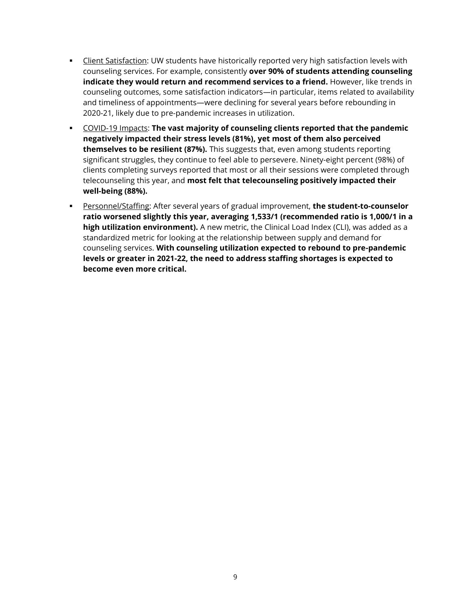- **•** Client Satisfaction: UW students have historically reported very high satisfaction levels with counseling services. For example, consistently **over 90% of students attending counseling indicate they would return and recommend services to a friend.** However, like trends in counseling outcomes, some satisfaction indicators—in particular, items related to availability and timeliness of appointments—were declining for several years before rebounding in 2020-21, likely due to pre-pandemic increases in utilization.
- COVID-19 Impacts: **The vast majority of counseling clients reported that the pandemic negatively impacted their stress levels (81%), yet most of them also perceived themselves to be resilient (87%).** This suggests that, even among students reporting significant struggles, they continue to feel able to persevere. Ninety-eight percent (98%) of clients completing surveys reported that most or all their sessions were completed through telecounseling this year, and **most felt that telecounseling positively impacted their well-being (88%).**
- Personnel/Staffing: After several years of gradual improvement, **the student-to-counselor ratio worsened slightly this year, averaging 1,533/1 (recommended ratio is 1,000/1 in a high utilization environment).** A new metric, the Clinical Load Index (CLI), was added as a standardized metric for looking at the relationship between supply and demand for counseling services. **With counseling utilization expected to rebound to pre-pandemic levels or greater in 2021-22, the need to address staffing shortages is expected to become even more critical.**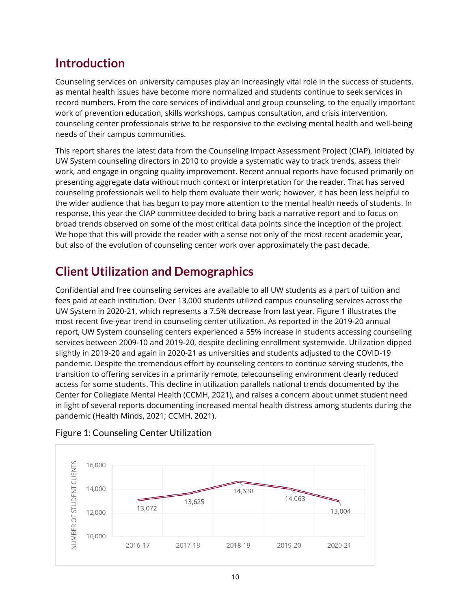# <span id="page-9-0"></span>**Introduction**

Counseling services on university campuses play an increasingly vital role in the success of students, as mental health issues have become more normalized and students continue to seek services in record numbers. From the core services of individual and group counseling, to the equally important work of prevention education, skills workshops, campus consultation, and crisis intervention, counseling center professionals strive to be responsive to the evolving mental health and well-being needs of their campus communities.

This report shares the latest data from the Counseling Impact Assessment Project (CIAP), initiated by UW System counseling directors in 2010 to provide a systematic way to track trends, assess their work, and engage in ongoing quality improvement. Recent annual reports have focused primarily on presenting aggregate data without much context or interpretation for the reader. That has served counseling professionals well to help them evaluate their work; however, it has been less helpful to the wider audience that has begun to pay more attention to the mental health needs of students. In response, this year the CIAP committee decided to bring back a narrative report and to focus on broad trends observed on some of the most critical data points since the inception of the project. We hope that this will provide the reader with a sense not only of the most recent academic year, but also of the evolution of counseling center work over approximately the past decade.

# <span id="page-9-1"></span>**Client Utilization and Demographics**

Confidential and free counseling services are available to all UW students as a part of tuition and fees paid at each institution. Over 13,000 students utilized campus counseling services across the UW System in 2020-21, which represents a 7.5% decrease from last year. Figure 1 illustrates the most recent five-year trend in counseling center utilization. As reported in the 2019-20 annual report, UW System counseling centers experienced a 55% increase in students accessing counseling services between 2009-10 and 2019-20, despite declining enrollment systemwide. Utilization dipped slightly in 2019-20 and again in 2020-21 as universities and students adjusted to the COVID-19 pandemic. Despite the tremendous effort by counseling centers to continue serving students, the transition to offering services in a primarily remote, telecounseling environment clearly reduced access for some students. This decline in utilization parallels national trends documented by the Center for Collegiate Mental Health (CCMH, 2021), and raises a concern about unmet student need in light of several reports documenting increased mental health distress among students during the pandemic (Health Minds, 2021; CCMH, 2021).



#### <span id="page-9-2"></span>Figure 1: Counseling Center Utilization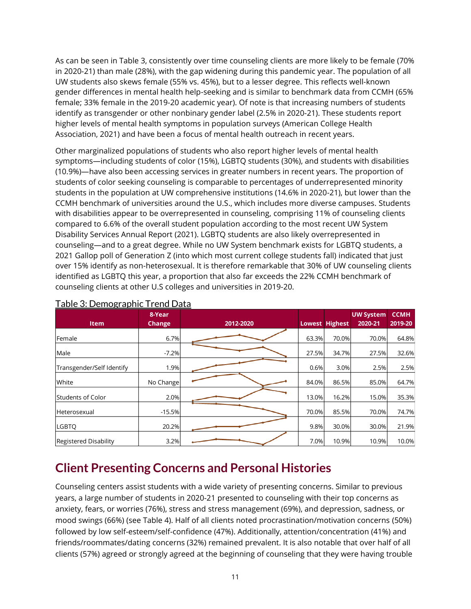As can be seen in Table 3, consistently over time counseling clients are more likely to be female (70% in 2020-21) than male (28%), with the gap widening during this pandemic year. The population of all UW students also skews female (55% vs. 45%), but to a lesser degree. This reflects well-known gender differences in mental health help-seeking and is similar to benchmark data from CCMH (65% female; 33% female in the 2019-20 academic year). Of note is that increasing numbers of students identify as transgender or other nonbinary gender label (2.5% in 2020-21). These students report higher levels of mental health symptoms in population surveys (American College Health Association, 2021) and have been a focus of mental health outreach in recent years.

Other marginalized populations of students who also report higher levels of mental health symptoms—including students of color (15%), LGBTQ students (30%), and students with disabilities (10.9%)—have also been accessing services in greater numbers in recent years. The proportion of students of color seeking counseling is comparable to percentages of underrepresented minority students in the population at UW comprehensive institutions (14.6% in 2020-21), but lower than the CCMH benchmark of universities around the U.S., which includes more diverse campuses. Students with disabilities appear to be overrepresented in counseling, comprising 11% of counseling clients compared to 6.6% of the overall student population according to the most recent UW System Disability Services Annual Report (2021). LGBTQ students are also likely overrepresented in counseling—and to a great degree. While no UW System benchmark exists for LGBTQ students, a 2021 Gallop poll of Generation Z (into which most current college students fall) indicated that just over 15% identify as non-heterosexual. It is therefore remarkable that 30% of UW counseling clients identified as LGBTQ this year, a proportion that also far exceeds the 22% CCMH benchmark of counseling clients at other U.S colleges and universities in 2019-20.

| <b>Item</b>                  | 8-Year<br>Change | 2012-2020 |       | <b>Lowest Highest</b> | <b>UW System</b><br>2020-21 | <b>CCMH</b><br>2019-20 |
|------------------------------|------------------|-----------|-------|-----------------------|-----------------------------|------------------------|
| Female                       | 6.7%             |           | 63.3% | 70.0%                 | 70.0%                       | 64.8%                  |
| Male                         | $-7.2%$          |           | 27.5% | 34.7%                 | 27.5%                       | 32.6%                  |
| Transgender/Self Identify    | 1.9%             |           | 0.6%  | 3.0%                  | 2.5%                        | 2.5%                   |
| White                        | No Change        |           | 84.0% | 86.5%                 | 85.0%                       | 64.7%                  |
| Students of Color            | 2.0%             |           | 13.0% | 16.2%                 | 15.0%                       | 35.3%                  |
| Heterosexual                 | $-15.5%$         |           | 70.0% | 85.5%                 | 70.0%                       | 74.7%                  |
| <b>LGBTO</b>                 | 20.2%            |           | 9.8%  | 30.0%                 | 30.0%                       | 21.9%                  |
| <b>Registered Disability</b> | 3.2%             |           | 7.0%  | 10.9%                 | 10.9%                       | 10.0%                  |

#### <span id="page-10-0"></span>Table 3: Demographic Trend Data

# <span id="page-10-1"></span>**Client Presenting Concerns and Personal Histories**

Counseling centers assist students with a wide variety of presenting concerns. Similar to previous years, a large number of students in 2020-21 presented to counseling with their top concerns as anxiety, fears, or worries (76%), stress and stress management (69%), and depression, sadness, or mood swings (66%) (see Table 4). Half of all clients noted procrastination/motivation concerns (50%) followed by low self-esteem/self-confidence (47%). Additionally, attention/concentration (41%) and friends/roommates/dating concerns (32%) remained prevalent. It is also notable that over half of all clients (57%) agreed or strongly agreed at the beginning of counseling that they were having trouble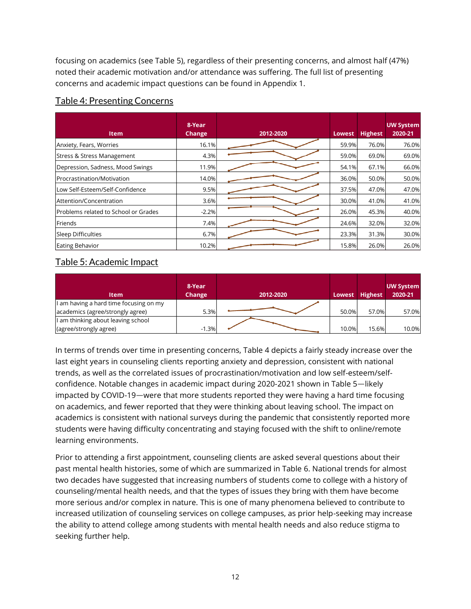focusing on academics (see Table 5), regardless of their presenting concerns, and almost half (47%) noted their academic motivation and/or attendance was suffering. The full list of presenting concerns and academic impact questions can be found in Appendix 1.

<span id="page-11-0"></span>

| <b>Item</b>                           | 8-Year<br>Change | 2012-2020 | <b>Lowest</b> | <b>Highest</b> | <b>UW System</b><br>2020-21 |
|---------------------------------------|------------------|-----------|---------------|----------------|-----------------------------|
| Anxiety, Fears, Worries               | 16.1%            |           | 59.9%         | 76.0%          | 76.0%                       |
| <b>Stress &amp; Stress Management</b> | 4.3%             |           | 59.0%         | 69.0%          | 69.0%                       |
| Depression, Sadness, Mood Swings      | 11.9%            |           | 54.1%         | 67.1%          | 66.0%                       |
| Procrastination/Motivation            | 14.0%            |           | 36.0%         | 50.0%          | 50.0%                       |
| Low Self-Esteem/Self-Confidence       | 9.5%             |           | 37.5%         | 47.0%          | 47.0%                       |
| Attention/Concentration               | 3.6%             |           | 30.0%         | 41.0%          | 41.0%                       |
| Problems related to School or Grades  | $-2.2%$          |           | 26.0%         | 45.3%          | 40.0%                       |
| Friends                               | 7.4%             |           | 24.6%         | 32.0%          | 32.0%                       |
| Sleep Difficulties                    | 6.7%             |           | 23.3%         | 31.3%          | 30.0%                       |
| Eating Behavior                       | 10.2%            |           | 15.8%         | 26.0%          | 26.0%                       |

#### <span id="page-11-1"></span>Table 5: Academic Impact

| <b>Item</b>                            | 8-Year<br>Change | 2012-2020 | Lowest | <b>Highest</b> | <b>UW System</b><br>2020-21 |
|----------------------------------------|------------------|-----------|--------|----------------|-----------------------------|
| I am having a hard time focusing on my |                  |           |        |                |                             |
| academics (agree/strongly agree)       | 5.3%             |           | 50.0%  | 57.0%          | 57.0%                       |
| I am thinking about leaving school     |                  |           |        |                |                             |
| (agree/strongly agree)                 | $-1.3%$          |           | 10.0%  | 15.6%          | 10.0%                       |

In terms of trends over time in presenting concerns, Table 4 depicts a fairly steady increase over the last eight years in counseling clients reporting anxiety and depression, consistent with national trends, as well as the correlated issues of procrastination/motivation and low self-esteem/selfconfidence. Notable changes in academic impact during 2020-2021 shown in Table 5—likely impacted by COVID-19—were that more students reported they were having a hard time focusing on academics, and fewer reported that they were thinking about leaving school. The impact on academics is consistent with national surveys during the pandemic that consistently reported more students were having difficulty concentrating and staying focused with the shift to online/remote learning environments.

Prior to attending a first appointment, counseling clients are asked several questions about their past mental health histories, some of which are summarized in Table 6. National trends for almost two decades have suggested that increasing numbers of students come to college with a history of counseling/mental health needs, and that the types of issues they bring with them have become more serious and/or complex in nature. This is one of many phenomena believed to contribute to increased utilization of counseling services on college campuses, as prior help-seeking may increase the ability to attend college among students with mental health needs and also reduce stigma to seeking further help.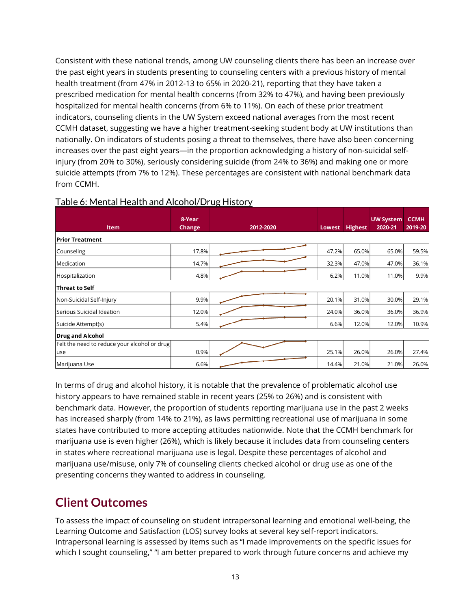Consistent with these national trends, among UW counseling clients there has been an increase over the past eight years in students presenting to counseling centers with a previous history of mental health treatment (from 47% in 2012-13 to 65% in 2020-21), reporting that they have taken a prescribed medication for mental health concerns (from 32% to 47%), and having been previously hospitalized for mental health concerns (from 6% to 11%). On each of these prior treatment indicators, counseling clients in the UW System exceed national averages from the most recent CCMH dataset, suggesting we have a higher treatment-seeking student body at UW institutions than nationally. On indicators of students posing a threat to themselves, there have also been concerning increases over the past eight years—in the proportion acknowledging a history of non-suicidal selfinjury (from 20% to 30%), seriously considering suicide (from 24% to 36%) and making one or more suicide attempts (from 7% to 12%). These percentages are consistent with national benchmark data from CCMH.

|                                              | 8-Year |           |        |                | <b>UW System</b> | <b>CCMH</b> |  |  |  |
|----------------------------------------------|--------|-----------|--------|----------------|------------------|-------------|--|--|--|
| <b>Item</b>                                  | Change | 2012-2020 | Lowest | <b>Highest</b> | 2020-21          | 2019-20     |  |  |  |
| <b>Prior Treatment</b>                       |        |           |        |                |                  |             |  |  |  |
| Counseling                                   | 17.8%  |           | 47.2%  | 65.0%          | 65.0%            | 59.5%       |  |  |  |
| Medication                                   | 14.7%  |           | 32.3%  | 47.0%          | 47.0%            | 36.1%       |  |  |  |
| Hospitalization                              | 4.8%   |           | 6.2%   | 11.0%          | 11.0%            | 9.9%        |  |  |  |
| Threat to Self                               |        |           |        |                |                  |             |  |  |  |
| Non-Suicidal Self-Injury                     | 9.9%   |           | 20.1%  | 31.0%          | 30.0%            | 29.1%       |  |  |  |
| Serious Suicidal Ideation                    | 12.0%  |           | 24.0%  | 36.0%          | 36.0%            | 36.9%       |  |  |  |
| Suicide Attempt(s)                           | 5.4%   |           | 6.6%   | 12.0%          | 12.0%            | 10.9%       |  |  |  |
| <b>Drug and Alcohol</b>                      |        |           |        |                |                  |             |  |  |  |
| Felt the need to reduce your alcohol or drug |        |           |        |                |                  |             |  |  |  |
| use                                          | 0.9%   |           | 25.1%  | 26.0%          | 26.0%            | 27.4%       |  |  |  |
| Marijuana Use                                | 6.6%   |           | 14.4%  | 21.0%          | 21.0%            | 26.0%       |  |  |  |

#### <span id="page-12-0"></span>Table 6: Mental Health and Alcohol/Drug History

In terms of drug and alcohol history, it is notable that the prevalence of problematic alcohol use history appears to have remained stable in recent years (25% to 26%) and is consistent with benchmark data. However, the proportion of students reporting marijuana use in the past 2 weeks has increased sharply (from 14% to 21%), as laws permitting recreational use of marijuana in some states have contributed to more accepting attitudes nationwide. Note that the CCMH benchmark for marijuana use is even higher (26%), which is likely because it includes data from counseling centers in states where recreational marijuana use is legal. Despite these percentages of alcohol and marijuana use/misuse, only 7% of counseling clients checked alcohol or drug use as one of the presenting concerns they wanted to address in counseling.

# <span id="page-12-1"></span>**Client Outcomes**

To assess the impact of counseling on student intrapersonal learning and emotional well-being, the Learning Outcome and Satisfaction (LOS) survey looks at several key self-report indicators. Intrapersonal learning is assessed by items such as "I made improvements on the specific issues for which I sought counseling," "I am better prepared to work through future concerns and achieve my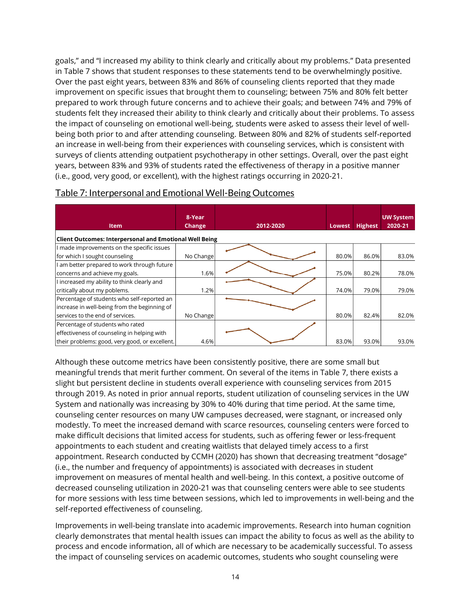goals," and "I increased my ability to think clearly and critically about my problems." Data presented in Table 7 shows that student responses to these statements tend to be overwhelmingly positive. Over the past eight years, between 83% and 86% of counseling clients reported that they made improvement on specific issues that brought them to counseling; between 75% and 80% felt better prepared to work through future concerns and to achieve their goals; and between 74% and 79% of students felt they increased their ability to think clearly and critically about their problems. To assess the impact of counseling on emotional well-being, students were asked to assess their level of wellbeing both prior to and after attending counseling. Between 80% and 82% of students self-reported an increase in well-being from their experiences with counseling services, which is consistent with surveys of clients attending outpatient psychotherapy in other settings. Overall, over the past eight years, between 83% and 93% of students rated the effectiveness of therapy in a positive manner (i.e., good, very good, or excellent), with the highest ratings occurring in 2020-21.

| <b>Item</b><br><b>Client Outcomes: Interpersonal and Emotional Well Being</b> | 8-Year<br>Change | 2012-2020 | Lowest | <b>Highest</b> | <b>UW System</b><br>2020-21 |
|-------------------------------------------------------------------------------|------------------|-----------|--------|----------------|-----------------------------|
| I made improvements on the specific issues                                    |                  |           |        |                |                             |
| for which I sought counseling                                                 | No Change        |           | 80.0%  | 86.0%          | 83.0%                       |
| I am better prepared to work through future                                   |                  |           |        |                |                             |
| concerns and achieve my goals.                                                | 1.6%             |           | 75.0%  | 80.2%          | 78.0%                       |
| I increased my ability to think clearly and                                   |                  |           |        |                |                             |
| critically about my poblems.                                                  | 1.2%             |           | 74.0%  | 79.0%          | 79.0%                       |
| Percentage of students who self-reported an                                   |                  |           |        |                |                             |
| increase in well-being from the beginning of                                  |                  |           |        |                |                             |
| services to the end of services.                                              | No Change        |           | 80.0%  | 82.4%          | 82.0%                       |
| Percentage of students who rated                                              |                  |           |        |                |                             |
| effectiveness of counseling in helping with                                   |                  |           |        |                |                             |
| their problems: good, very good, or excellent.                                | 4.6%             |           | 83.0%  | 93.0%          | 93.0%                       |

#### <span id="page-13-0"></span>Table 7: Interpersonal and Emotional Well-Being Outcomes

Although these outcome metrics have been consistently positive, there are some small but meaningful trends that merit further comment. On several of the items in Table 7, there exists a slight but persistent decline in students overall experience with counseling services from 2015 through 2019. As noted in prior annual reports, student utilization of counseling services in the UW System and nationally was increasing by 30% to 40% during that time period. At the same time, counseling center resources on many UW campuses decreased, were stagnant, or increased only modestly. To meet the increased demand with scarce resources, counseling centers were forced to make difficult decisions that limited access for students, such as offering fewer or less-frequent appointments to each student and creating waitlists that delayed timely access to a first appointment. Research conducted by CCMH (2020) has shown that decreasing treatment "dosage" (i.e., the number and frequency of appointments) is associated with decreases in student improvement on measures of mental health and well-being. In this context, a positive outcome of decreased counseling utilization in 2020-21 was that counseling centers were able to see students for more sessions with less time between sessions, which led to improvements in well-being and the self-reported effectiveness of counseling.

Improvements in well-being translate into academic improvements. Research into human cognition clearly demonstrates that mental health issues can impact the ability to focus as well as the ability to process and encode information, all of which are necessary to be academically successful. To assess the impact of counseling services on academic outcomes, students who sought counseling were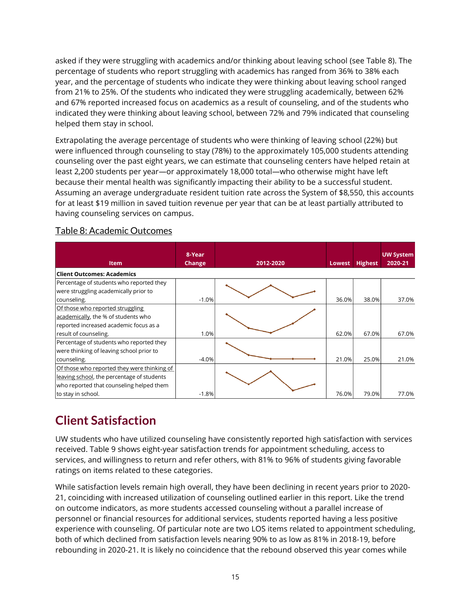asked if they were struggling with academics and/or thinking about leaving school (see Table 8). The percentage of students who report struggling with academics has ranged from 36% to 38% each year, and the percentage of students who indicate they were thinking about leaving school ranged from 21% to 25%. Of the students who indicated they were struggling academically, between 62% and 67% reported increased focus on academics as a result of counseling, and of the students who indicated they were thinking about leaving school, between 72% and 79% indicated that counseling helped them stay in school.

Extrapolating the average percentage of students who were thinking of leaving school (22%) but were influenced through counseling to stay (78%) to the approximately 105,000 students attending counseling over the past eight years, we can estimate that counseling centers have helped retain at least 2,200 students per year—or approximately 18,000 total—who otherwise might have left because their mental health was significantly impacting their ability to be a successful student. Assuming an average undergraduate resident tuition rate across the System of \$8,550, this accounts for at least \$19 million in saved tuition revenue per year that can be at least partially attributed to having counseling services on campus.

| <b>Item</b>                                 | 8-Year<br>Change | 2012-2020 | Lowest | <b>Highest</b> | <b>UW System</b><br>2020-21 |
|---------------------------------------------|------------------|-----------|--------|----------------|-----------------------------|
| <b>Client Outcomes: Academics</b>           |                  |           |        |                |                             |
| Percentage of students who reported they    |                  |           |        |                |                             |
| were struggling academically prior to       |                  |           |        |                |                             |
| counseling.                                 | $-1.0%$          |           | 36.0%  | 38.0%          | 37.0%                       |
| Of those who reported struggling            |                  |           |        |                |                             |
| academically, the % of students who         |                  |           |        |                |                             |
| reported increased academic focus as a      |                  |           |        |                |                             |
| result of counseling.                       | 1.0%             |           | 62.0%  | 67.0%          | 67.0%                       |
| Percentage of students who reported they    |                  |           |        |                |                             |
| were thinking of leaving school prior to    |                  |           |        |                |                             |
| counseling.                                 | $-4.0%$          |           | 21.0%  | 25.0%          | 21.0%                       |
| Of those who reported they were thinking of |                  |           |        |                |                             |
| leaving school, the percentage of students  |                  |           |        |                |                             |
| who reported that counseling helped them    |                  |           |        |                |                             |
| to stay in school.                          | $-1.8%$          |           | 76.0%  | 79.0%          | 77.0%                       |

#### <span id="page-14-0"></span>Table 8: Academic Outcomes

# <span id="page-14-1"></span>**Client Satisfaction**

UW students who have utilized counseling have consistently reported high satisfaction with services received. Table 9 shows eight-year satisfaction trends for appointment scheduling, access to services, and willingness to return and refer others, with 81% to 96% of students giving favorable ratings on items related to these categories.

While satisfaction levels remain high overall, they have been declining in recent years prior to 2020- 21, coinciding with increased utilization of counseling outlined earlier in this report. Like the trend on outcome indicators, as more students accessed counseling without a parallel increase of personnel or financial resources for additional services, students reported having a less positive experience with counseling. Of particular note are two LOS items related to appointment scheduling, both of which declined from satisfaction levels nearing 90% to as low as 81% in 2018-19, before rebounding in 2020-21. It is likely no coincidence that the rebound observed this year comes while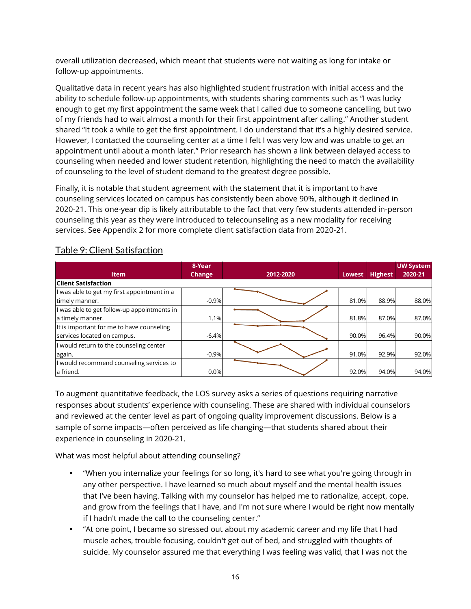overall utilization decreased, which meant that students were not waiting as long for intake or follow-up appointments.

Qualitative data in recent years has also highlighted student frustration with initial access and the ability to schedule follow-up appointments, with students sharing comments such as "I was lucky enough to get my first appointment the same week that I called due to someone cancelling, but two of my friends had to wait almost a month for their first appointment after calling." Another student shared "It took a while to get the first appointment. I do understand that it's a highly desired service. However, I contacted the counseling center at a time I felt I was very low and was unable to get an appointment until about a month later." Prior research has shown a link between delayed access to counseling when needed and lower student retention, highlighting the need to match the availability of counseling to the level of student demand to the greatest degree possible.

Finally, it is notable that student agreement with the statement that it is important to have counseling services located on campus has consistently been above 90%, although it declined in 2020-21. This one-year dip is likely attributable to the fact that very few students attended in-person counseling this year as they were introduced to telecounseling as a new modality for receiving services. See Appendix 2 for more complete client satisfaction data from 2020-21.

|                                             | 8-Year        |           |        |                | <b>UW System</b> |
|---------------------------------------------|---------------|-----------|--------|----------------|------------------|
| <b>Item</b>                                 | <b>Change</b> | 2012-2020 | Lowest | <b>Highest</b> | 2020-21          |
| <b>Client Satisfaction</b>                  |               |           |        |                |                  |
| I was able to get my first appointment in a |               |           |        |                |                  |
| timely manner.                              | $-0.9%$       |           | 81.0%  | 88.9%          | 88.0%            |
| I was able to get follow-up appointments in |               |           |        |                |                  |
| a timely manner.                            | 1.1%          |           | 81.8%  | 87.0%          | 87.0%            |
| It is important for me to have counseling   |               |           |        |                |                  |
| services located on campus.                 | $-6.4%$       |           | 90.0%  | 96.4%          | 90.0%            |
| I would return to the counseling center     |               |           |        |                |                  |
| again.                                      | $-0.9%$       |           | 91.0%  | 92.9%          | 92.0%            |
| I would recommend counseling services to    |               |           |        |                |                  |
| a friend.                                   | 0.0%          |           | 92.0%  | 94.0%          | 94.0%            |

#### <span id="page-15-0"></span>Table 9: Client Satisfaction

To augment quantitative feedback, the LOS survey asks a series of questions requiring narrative responses about students' experience with counseling. These are shared with individual counselors and reviewed at the center level as part of ongoing quality improvement discussions. Below is a sample of some impacts—often perceived as life changing—that students shared about their experience in counseling in 2020-21.

What was most helpful about attending counseling?

- "When you internalize your feelings for so long, it's hard to see what you're going through in any other perspective. I have learned so much about myself and the mental health issues that I've been having. Talking with my counselor has helped me to rationalize, accept, cope, and grow from the feelings that I have, and I'm not sure where I would be right now mentally if I hadn't made the call to the counseling center."
- "At one point, I became so stressed out about my academic career and my life that I had muscle aches, trouble focusing, couldn't get out of bed, and struggled with thoughts of suicide. My counselor assured me that everything I was feeling was valid, that I was not the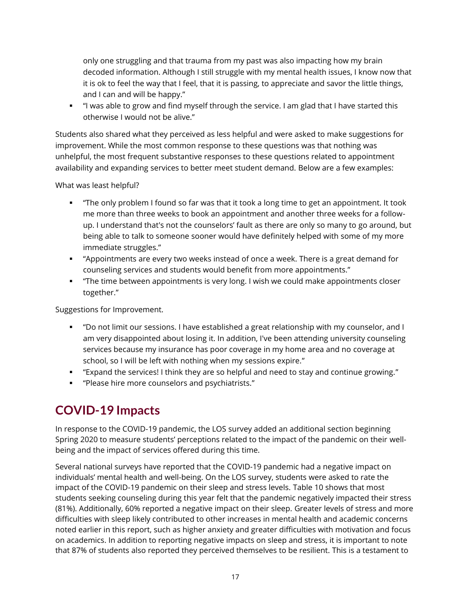only one struggling and that trauma from my past was also impacting how my brain decoded information. Although I still struggle with my mental health issues, I know now that it is ok to feel the way that I feel, that it is passing, to appreciate and savor the little things, and I can and will be happy."

▪ "I was able to grow and find myself through the service. I am glad that I have started this otherwise I would not be alive."

Students also shared what they perceived as less helpful and were asked to make suggestions for improvement. While the most common response to these questions was that nothing was unhelpful, the most frequent substantive responses to these questions related to appointment availability and expanding services to better meet student demand. Below are a few examples:

#### What was least helpful?

- "The only problem I found so far was that it took a long time to get an appointment. It took me more than three weeks to book an appointment and another three weeks for a followup. I understand that's not the counselors' fault as there are only so many to go around, but being able to talk to someone sooner would have definitely helped with some of my more immediate struggles."
- "Appointments are every two weeks instead of once a week. There is a great demand for counseling services and students would benefit from more appointments."
- "The time between appointments is very long. I wish we could make appointments closer together."

Suggestions for Improvement.

- "Do not limit our sessions. I have established a great relationship with my counselor, and I am very disappointed about losing it. In addition, I've been attending university counseling services because my insurance has poor coverage in my home area and no coverage at school, so I will be left with nothing when my sessions expire."
- "Expand the services! I think they are so helpful and need to stay and continue growing."
- "Please hire more counselors and psychiatrists."

# <span id="page-16-0"></span>**COVID-19 Impacts**

In response to the COVID-19 pandemic, the LOS survey added an additional section beginning Spring 2020 to measure students' perceptions related to the impact of the pandemic on their wellbeing and the impact of services offered during this time.

Several national surveys have reported that the COVID-19 pandemic had a negative impact on individuals' mental health and well-being. On the LOS survey, students were asked to rate the impact of the COVID-19 pandemic on their sleep and stress levels. Table 10 shows that most students seeking counseling during this year felt that the pandemic negatively impacted their stress (81%). Additionally, 60% reported a negative impact on their sleep. Greater levels of stress and more difficulties with sleep likely contributed to other increases in mental health and academic concerns noted earlier in this report, such as higher anxiety and greater difficulties with motivation and focus on academics. In addition to reporting negative impacts on sleep and stress, it is important to note that 87% of students also reported they perceived themselves to be resilient. This is a testament to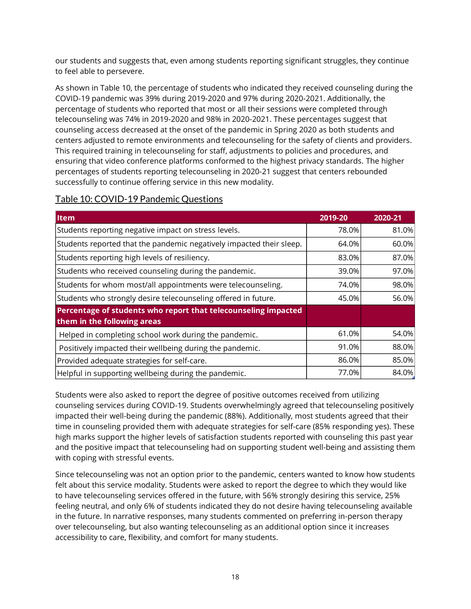our students and suggests that, even among students reporting significant struggles, they continue to feel able to persevere.

As shown in Table 10, the percentage of students who indicated they received counseling during the COVID-19 pandemic was 39% during 2019-2020 and 97% during 2020-2021. Additionally, the percentage of students who reported that most or all their sessions were completed through telecounseling was 74% in 2019-2020 and 98% in 2020-2021. These percentages suggest that counseling access decreased at the onset of the pandemic in Spring 2020 as both students and centers adjusted to remote environments and telecounseling for the safety of clients and providers. This required training in telecounseling for staff, adjustments to policies and procedures, and ensuring that video conference platforms conformed to the highest privacy standards. The higher percentages of students reporting telecounseling in 2020-21 suggest that centers rebounded successfully to continue offering service in this new modality.

| <b>Item</b>                                                          | 2019-20 | 2020-21 |
|----------------------------------------------------------------------|---------|---------|
| Students reporting negative impact on stress levels.                 | 78.0%   | 81.0%   |
| Students reported that the pandemic negatively impacted their sleep. | 64.0%   | 60.0%   |
| Students reporting high levels of resiliency.                        | 83.0%   | 87.0%   |
| Students who received counseling during the pandemic.                | 39.0%   | 97.0%   |
| Students for whom most/all appointments were telecounseling.         | 74.0%   | 98.0%   |
| Students who strongly desire telecounseling offered in future.       | 45.0%   | 56.0%   |
| Percentage of students who report that telecounseling impacted       |         |         |
| them in the following areas                                          |         |         |
| Helped in completing school work during the pandemic.                | 61.0%   | 54.0%   |
| Positively impacted their wellbeing during the pandemic.             | 91.0%   | 88.0%   |
| Provided adequate strategies for self-care.                          | 86.0%   | 85.0%   |
| Helpful in supporting wellbeing during the pandemic.                 | 77.0%   | 84.0%   |

#### <span id="page-17-0"></span>Table 10: COVID-19 Pandemic Questions

Students were also asked to report the degree of positive outcomes received from utilizing counseling services during COVID-19. Students overwhelmingly agreed that telecounseling positively impacted their well-being during the pandemic (88%). Additionally, most students agreed that their time in counseling provided them with adequate strategies for self-care (85% responding yes). These high marks support the higher levels of satisfaction students reported with counseling this past year and the positive impact that telecounseling had on supporting student well-being and assisting them with coping with stressful events.

Since telecounseling was not an option prior to the pandemic, centers wanted to know how students felt about this service modality. Students were asked to report the degree to which they would like to have telecounseling services offered in the future, with 56% strongly desiring this service, 25% feeling neutral, and only 6% of students indicated they do not desire having telecounseling available in the future. In narrative responses, many students commented on preferring in-person therapy over telecounseling, but also wanting telecounseling as an additional option since it increases accessibility to care, flexibility, and comfort for many students.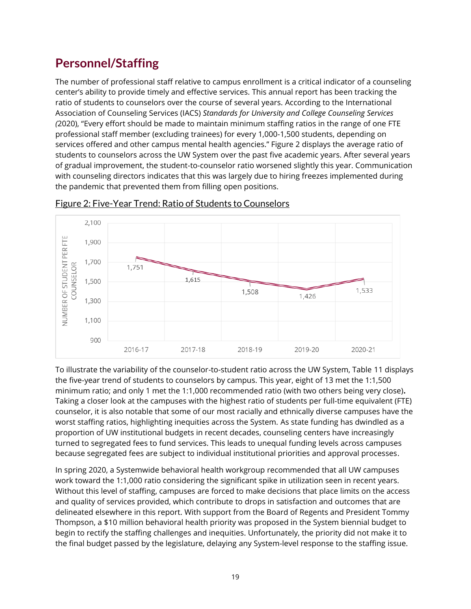# <span id="page-18-0"></span>**Personnel/Staffing**

The number of professional staff relative to campus enrollment is a critical indicator of a counseling center's ability to provide timely and effective services. This annual report has been tracking the ratio of students to counselors over the course of several years. According to the International Association of Counseling Services (IACS) *Standards for University and College Counseling Services (*2020), "Every effort should be made to maintain minimum staffing ratios in the range of one FTE professional staff member (excluding trainees) for every 1,000-1,500 students, depending on services offered and other campus mental health agencies." Figure 2 displays the average ratio of students to counselors across the UW System over the past five academic years. After several years of gradual improvement, the student-to-counselor ratio worsened slightly this year. Communication with counseling directors indicates that this was largely due to hiring freezes implemented during the pandemic that prevented them from filling open positions.



<span id="page-18-1"></span>Figure 2: Five-Year Trend: Ratio of Students to Counselors

To illustrate the variability of the counselor-to-student ratio across the UW System, Table 11 displays the five-year trend of students to counselors by campus. This year, eight of 13 met the 1:1,500 minimum ratio; and only 1 met the 1:1,000 recommended ratio (with two others being very close)**.** Taking a closer look at the campuses with the highest ratio of students per full-time equivalent (FTE) counselor, it is also notable that some of our most racially and ethnically diverse campuses have the worst staffing ratios, highlighting inequities across the System. As state funding has dwindled as a proportion of UW institutional budgets in recent decades, counseling centers have increasingly turned to segregated fees to fund services. This leads to unequal funding levels across campuses because segregated fees are subject to individual institutional priorities and approval processes.

In spring 2020, a Systemwide behavioral health workgroup recommended that all UW campuses work toward the 1:1,000 ratio considering the significant spike in utilization seen in recent years. Without this level of staffing, campuses are forced to make decisions that place limits on the access and quality of services provided, which contribute to drops in satisfaction and outcomes that are delineated elsewhere in this report. With support from the Board of Regents and President Tommy Thompson, a \$10 million behavioral health priority was proposed in the System biennial budget to begin to rectify the staffing challenges and inequities. Unfortunately, the priority did not make it to the final budget passed by the legislature, delaying any System-level response to the staffing issue.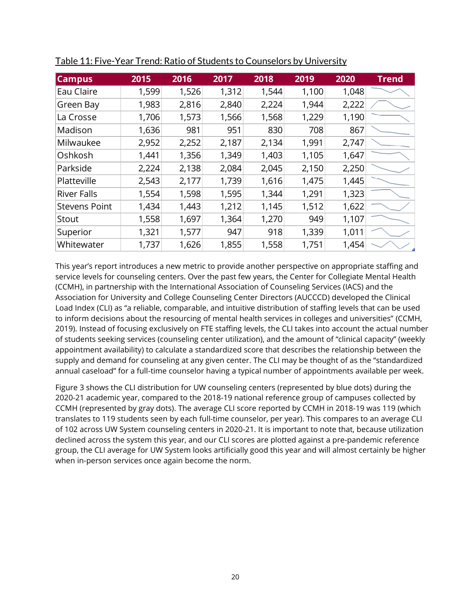| <b>Campus</b>        | 2015  | 2016  | 2017  | 2018  | 2019  | 2020  | <b>Trend</b> |
|----------------------|-------|-------|-------|-------|-------|-------|--------------|
| Eau Claire           | 1,599 | 1,526 | 1,312 | 1,544 | 1,100 | 1,048 |              |
| Green Bay            | 1,983 | 2,816 | 2,840 | 2,224 | 1,944 | 2,222 |              |
| La Crosse            | 1,706 | 1,573 | 1,566 | 1,568 | 1,229 | 1,190 |              |
| Madison              | 1,636 | 981   | 951   | 830   | 708   | 867   |              |
| Milwaukee            | 2,952 | 2,252 | 2,187 | 2,134 | 1,991 | 2,747 |              |
| Oshkosh              | 1,441 | 1,356 | 1,349 | 1,403 | 1,105 | 1,647 |              |
| Parkside             | 2,224 | 2,138 | 2,084 | 2,045 | 2,150 | 2,250 |              |
| Platteville          | 2,543 | 2,177 | 1,739 | 1,616 | 1,475 | 1,445 |              |
| <b>River Falls</b>   | 1,554 | 1,598 | 1,595 | 1,344 | 1,291 | 1,323 |              |
| <b>Stevens Point</b> | 1,434 | 1,443 | 1,212 | 1,145 | 1,512 | 1,622 |              |
| Stout                | 1,558 | 1,697 | 1,364 | 1,270 | 949   | 1,107 |              |
| Superior             | 1,321 | 1,577 | 947   | 918   | 1,339 | 1,011 |              |
| Whitewater           | 1,737 | 1,626 | 1,855 | 1,558 | 1,751 | 1,454 |              |

<span id="page-19-0"></span>

| Table 11: Five-Year Trend: Ratio of Students to Counselors by University |  |
|--------------------------------------------------------------------------|--|
|                                                                          |  |

This year's report introduces a new metric to provide another perspective on appropriate staffing and service levels for counseling centers. Over the past few years, the Center for Collegiate Mental Health (CCMH), in partnership with the International Association of Counseling Services (IACS) and the Association for University and College Counseling Center Directors (AUCCCD) developed the Clinical Load Index (CLI) as "a reliable, comparable, and intuitive distribution of staffing levels that can be used to inform decisions about the resourcing of mental health services in colleges and universities" (CCMH, 2019). Instead of focusing exclusively on FTE staffing levels, the CLI takes into account the actual number of students seeking services (counseling center utilization), and the amount of "clinical capacity" (weekly appointment availability) to calculate a standardized score that describes the relationship between the supply and demand for counseling at any given center. The CLI may be thought of as the "standardized annual caseload" for a full-time counselor having a typical number of appointments available per week.

Figure 3 shows the CLI distribution for UW counseling centers (represented by blue dots) during the 2020-21 academic year, compared to the 2018-19 national reference group of campuses collected by CCMH (represented by gray dots). The average CLI score reported by CCMH in 2018-19 was 119 (which translates to 119 students seen by each full-time counselor, per year). This compares to an average CLI of 102 across UW System counseling centers in 2020-21. It is important to note that, because utilization declined across the system this year, and our CLI scores are plotted against a pre-pandemic reference group, the CLI average for UW System looks artificially good this year and will almost certainly be higher when in-person services once again become the norm.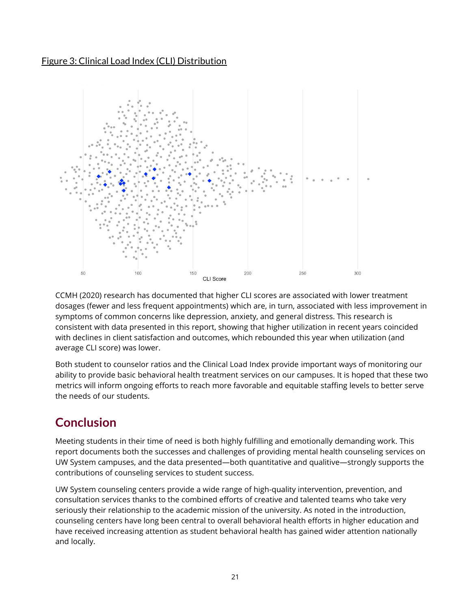<span id="page-20-0"></span>Figure 3: Clinical Load Index (CLI) Distribution



CCMH (2020) research has documented that higher CLI scores are associated with lower treatment dosages (fewer and less frequent appointments) which are, in turn, associated with less improvement in symptoms of common concerns like depression, anxiety, and general distress. This research is consistent with data presented in this report, showing that higher utilization in recent years coincided with declines in client satisfaction and outcomes, which rebounded this year when utilization (and average CLI score) was lower.

Both student to counselor ratios and the Clinical Load Index provide important ways of monitoring our ability to provide basic behavioral health treatment services on our campuses. It is hoped that these two metrics will inform ongoing efforts to reach more favorable and equitable staffing levels to better serve the needs of our students.

# <span id="page-20-1"></span>**Conclusion**

Meeting students in their time of need is both highly fulfilling and emotionally demanding work. This report documents both the successes and challenges of providing mental health counseling services on UW System campuses, and the data presented—both quantitative and qualitive—strongly supports the contributions of counseling services to student success.

UW System counseling centers provide a wide range of high-quality intervention, prevention, and consultation services thanks to the combined efforts of creative and talented teams who take very seriously their relationship to the academic mission of the university. As noted in the introduction, counseling centers have long been central to overall behavioral health efforts in higher education and have received increasing attention as student behavioral health has gained wider attention nationally and locally.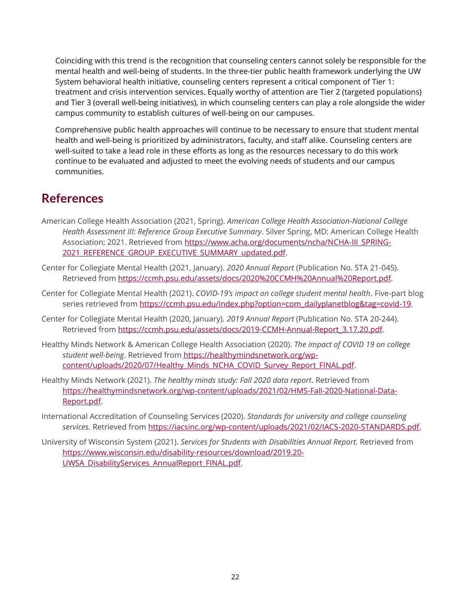Coinciding with this trend is the recognition that counseling centers cannot solely be responsible for the mental health and well-being of students. In the three-tier public health framework underlying the UW System behavioral health initiative, counseling centers represent a critical component of Tier 1: treatment and crisis intervention services. Equally worthy of attention are Tier 2 (targeted populations) and Tier 3 (overall well-being initiatives), in which counseling centers can play a role alongside the wider campus community to establish cultures of well-being on our campuses.

Comprehensive public health approaches will continue to be necessary to ensure that student mental health and well-being is prioritized by administrators, faculty, and staff alike. Counseling centers are well-suited to take a lead role in these efforts as long as the resources necessary to do this work continue to be evaluated and adjusted to meet the evolving needs of students and our campus communities.

# <span id="page-21-0"></span>**References**

- American College Health Association (2021, Spring). *American College Health Association-National College Health Assessment III: Reference Group Executive Summary*. Silver Spring, MD: American College Health Association; 2021. Retrieved from [https://www.acha.org/documents/ncha/NCHA-III\\_SPRING-](https://www.acha.org/documents/ncha/NCHA-III_SPRING-2021_REFERENCE_GROUP_EXECUTIVE_SUMMARY_updated.pdf)2021 REFERENCE GROUP EXECUTIVE SUMMARY updated.pdf.
- Center for Collegiate Mental Health (2021, January). *2020 Annual Report* (Publication No. STA 21-045). Retrieved from [https://ccmh.psu.edu/assets/docs/2020%20CCMH%20Annual%20Report.pdf.](https://ccmh.psu.edu/assets/docs/2020%20CCMH%20Annual%20Report.pdf)
- Center for Collegiate Mental Health (2021). *COVID-19's impact on college student mental health*. Five-part blog series retrieved from https://ccmh.psu.edu/index.php?option=com\_dailyplanetblog&tag=covid-19.
- Center for Collegiate Mental Health (2020, January). *2019 Annual Report* (Publication No. STA 20-244). Retrieved from https://ccmh.psu.edu/assets/docs/2019-CCMH-Annual-Report\_3.17.20.pdf.
- Healthy Minds Network & American College Health Association (2020). *The impact of COVID 19 on college student well-being*. Retrieved from [https://healthymindsnetwork.org/wp](https://healthymindsnetwork.org/wp-content/uploads/2020/07/Healthy_Minds_NCHA_COVID_Survey_Report_FINAL.pdf)[content/uploads/2020/07/Healthy\\_Minds\\_NCHA\\_COVID\\_Survey\\_Report\\_FINAL.pdf.](https://healthymindsnetwork.org/wp-content/uploads/2020/07/Healthy_Minds_NCHA_COVID_Survey_Report_FINAL.pdf)
- Healthy Minds Network (2021). *The healthy minds study: Fall 2020 data report*. Retrieved from [https://healthymindsnetwork.org/wp-content/uploads/2021/02/HMS-Fall-2020-National-Data-](https://healthymindsnetwork.org/wp-content/uploads/2021/02/HMS-Fall-2020-National-Data-Report.pdf)[Report.pdf.](https://healthymindsnetwork.org/wp-content/uploads/2021/02/HMS-Fall-2020-National-Data-Report.pdf)
- International Accreditation of Counseling Services (2020). *Standards for university and college counseling*  services. Retrieved from [https://iacsinc.org/wp-content/uploads/2021/02/IACS-2020-STANDARDS.pdf.](https://iacsinc.org/wp-content/uploads/2021/02/IACS-2020-STANDARDS.pdf)
- University of Wisconsin System (2021). *Services for Students with Disabilities Annual Report.* Retrieved from [https://www.wisconsin.edu/disability-resources/download/2019.20-](https://www.wisconsin.edu/disability-resources/download/2019.20-UWSA_DisabilityServices_AnnualReport_FINAL.pdf) [UWSA\\_DisabilityServices\\_AnnualReport\\_FINAL.pdf.](https://www.wisconsin.edu/disability-resources/download/2019.20-UWSA_DisabilityServices_AnnualReport_FINAL.pdf)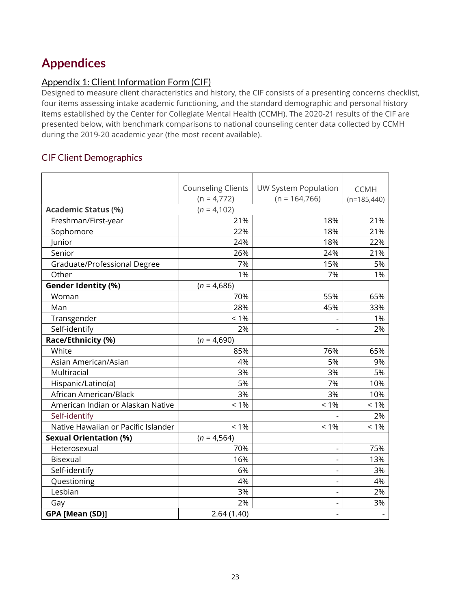# <span id="page-22-0"></span>**Appendices**

#### <span id="page-22-1"></span>Appendix 1: Client Information Form (CIF)

Designed to measure client characteristics and history, the CIF consists of a presenting concerns checklist, four items assessing intake academic functioning, and the standard demographic and personal history items established by the Center for Collegiate Mental Health (CCMH). The 2020-21 results of the CIF are presented below, with benchmark comparisons to national counseling center data collected by CCMH during the 2019-20 academic year (the most recent available).

#### <span id="page-22-2"></span>CIF Client Demographics

|                                     | <b>Counseling Clients</b> | UW System Population     |                              |
|-------------------------------------|---------------------------|--------------------------|------------------------------|
|                                     | $(n = 4,772)$             | $(n = 164, 766)$         | <b>CCMH</b><br>$(n=185,440)$ |
| <b>Academic Status (%)</b>          | $(n = 4, 102)$            |                          |                              |
|                                     | 21%                       | 18%                      |                              |
| Freshman/First-year                 |                           |                          | 21%                          |
| Sophomore                           | 22%                       | 18%                      | 21%                          |
| Junior                              | 24%                       | 18%                      | 22%                          |
| Senior                              | 26%                       | 24%                      | 21%                          |
| Graduate/Professional Degree        | 7%                        | 15%                      | 5%                           |
| Other                               | 1%                        | 7%                       | 1%                           |
| <b>Gender Identity (%)</b>          | $(n = 4,686)$             |                          |                              |
| Woman                               | 70%                       | 55%                      | 65%                          |
| Man                                 | 28%                       | 45%                      | 33%                          |
| Transgender                         | $< 1\%$                   |                          | 1%                           |
| Self-identify                       | 2%                        |                          | 2%                           |
| Race/Ethnicity (%)                  | $(n = 4,690)$             |                          |                              |
| White                               | 85%                       | 76%                      | 65%                          |
| Asian American/Asian                | 4%                        | 5%                       | 9%                           |
| Multiracial                         | 3%                        | 3%                       | 5%                           |
| Hispanic/Latino(a)                  | 5%                        | 7%                       | 10%                          |
| African American/Black              | 3%                        | 3%                       | 10%                          |
| American Indian or Alaskan Native   | $< 1\%$                   | $< 1\%$                  | $< 1\%$                      |
| Self-identify                       |                           |                          | 2%                           |
| Native Hawaiian or Pacific Islander | $< 1\%$                   | $< 1\%$                  | $< 1\%$                      |
| <b>Sexual Orientation (%)</b>       | $(n = 4, 564)$            |                          |                              |
| Heterosexual                        | 70%                       |                          | 75%                          |
| Bisexual                            | 16%                       | -                        | 13%                          |
| Self-identify                       | 6%                        |                          | 3%                           |
| Questioning                         | 4%                        | $\overline{\phantom{0}}$ | 4%                           |
| Lesbian                             | 3%                        | $\overline{a}$           | 2%                           |
| Gay                                 | 2%                        |                          | 3%                           |
| GPA [Mean (SD)]                     | 2.64(1.40)                | $\overline{a}$           |                              |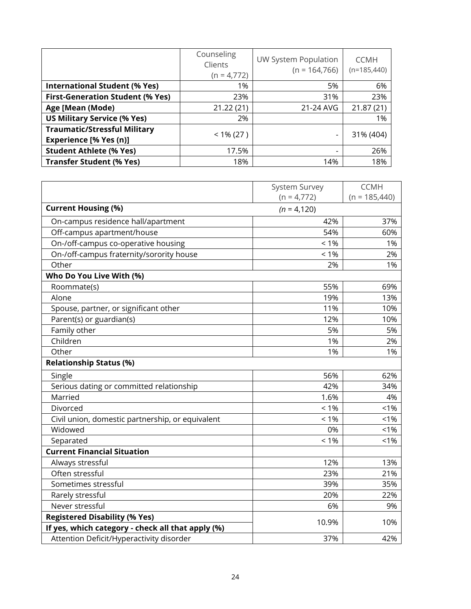|                                                                      | Counseling<br>Clients<br>$(n = 4,772)$ | UW System Population<br>$(n = 164, 766)$ | <b>CCMH</b><br>$(n=185,440)$ |
|----------------------------------------------------------------------|----------------------------------------|------------------------------------------|------------------------------|
| <b>International Student (% Yes)</b>                                 | 1%                                     | 5%                                       | 6%                           |
| <b>First-Generation Student (% Yes)</b>                              | 23%                                    | 31%                                      | 23%                          |
| Age [Mean (Mode)                                                     | 21.22(21)                              | 21-24 AVG                                | 21.87 (21)                   |
| <b>US Military Service (% Yes)</b>                                   | 2%                                     |                                          | 1%                           |
| <b>Traumatic/Stressful Military</b><br><b>Experience [% Yes (n)]</b> | $< 1\% (27)$                           |                                          | 31% (404)                    |
| <b>Student Athlete (% Yes)</b>                                       | 17.5%                                  |                                          | 26%                          |
| <b>Transfer Student (% Yes)</b>                                      | 18%                                    | 14%                                      | 18%                          |

|                                                   | System Survey  | <b>CCMH</b>     |
|---------------------------------------------------|----------------|-----------------|
|                                                   | $(n = 4,772)$  | $(n = 185,440)$ |
| <b>Current Housing (%)</b>                        | $(n = 4, 120)$ |                 |
| On-campus residence hall/apartment                | 42%            | 37%             |
| Off-campus apartment/house                        | 54%            | 60%             |
| On-/off-campus co-operative housing               | $< 1\%$        | 1%              |
| On-/off-campus fraternity/sorority house          | $< 1\%$        | 2%              |
| Other                                             | 2%             | 1%              |
| Who Do You Live With (%)                          |                |                 |
| Roommate(s)                                       | 55%            | 69%             |
| Alone                                             | 19%            | 13%             |
| Spouse, partner, or significant other             | 11%            | 10%             |
| Parent(s) or guardian(s)                          | 12%            | 10%             |
| Family other                                      | 5%             | 5%              |
| Children                                          | 1%             | 2%              |
| Other                                             | 1%             | 1%              |
| <b>Relationship Status (%)</b>                    |                |                 |
| Single                                            | 56%            | 62%             |
| Serious dating or committed relationship          | 42%            | 34%             |
| Married                                           | 1.6%           | 4%              |
| Divorced                                          | $< 1\%$        | < 1%            |
| Civil union, domestic partnership, or equivalent  | $< 1\%$        | 1%              |
| Widowed                                           | 0%             | $< 1\%$         |
| Separated                                         | $< 1\%$        | 1%              |
| <b>Current Financial Situation</b>                |                |                 |
| Always stressful                                  | 12%            | 13%             |
| Often stressful                                   | 23%            | 21%             |
| Sometimes stressful                               | 39%            | 35%             |
| Rarely stressful                                  | 20%            | 22%             |
| Never stressful                                   | 6%             | 9%              |
| <b>Registered Disability (% Yes)</b>              | 10.9%          | 10%             |
| If yes, which category - check all that apply (%) |                |                 |
| Attention Deficit/Hyperactivity disorder          | 37%            | 42%             |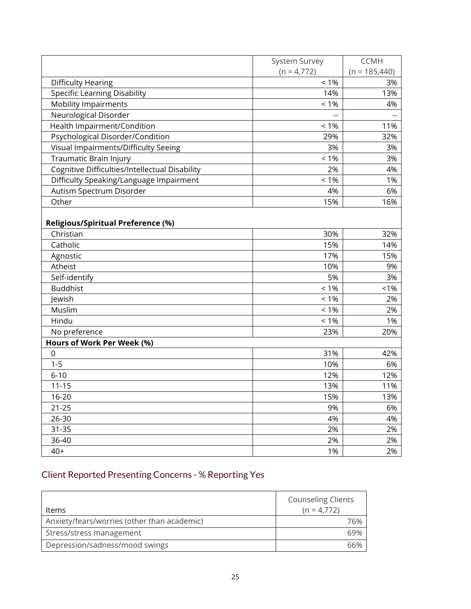|                                                | System Survey | <b>CCMH</b>     |
|------------------------------------------------|---------------|-----------------|
|                                                | $(n = 4,772)$ | $(n = 185,440)$ |
| Difficulty Hearing                             | $< 1\%$       | 3%              |
| <b>Specific Learning Disability</b>            | 14%           | 13%             |
| <b>Mobility Impairments</b>                    | $< 1\%$       | 4%              |
| Neurological Disorder                          |               |                 |
| Health Impairment/Condition                    | $< 1\%$       | 11%             |
| Psychological Disorder/Condition               | 29%           | 32%             |
| Visual Impairments/Difficulty Seeing           | 3%            | 3%              |
| Traumatic Brain Injury                         | $< 1\%$       | 3%              |
| Cognitive Difficulties/Intellectual Disability | 2%            | 4%              |
| Difficulty Speaking/Language Impairment        | $< 1\%$       | 1%              |
| Autism Spectrum Disorder                       | 4%            | 6%              |
| Other                                          | 15%           | 16%             |
|                                                |               |                 |
| <b>Religious/Spiritual Preference (%)</b>      |               |                 |
| Christian                                      | 30%           | 32%             |
| Catholic                                       | 15%           | 14%             |
| Agnostic                                       | 17%           | 15%             |
| Atheist                                        | 10%           | 9%              |
| Self-identify                                  | 5%            | 3%              |
| <b>Buddhist</b>                                | $< 1\%$       | 1%              |
| Jewish                                         | $< 1\%$       | 2%              |
| Muslim                                         | $< 1\%$       | 2%              |
| Hindu                                          | $< 1\%$       | 1%              |
| No preference                                  | 23%           | 20%             |
| Hours of Work Per Week (%)                     |               |                 |
| 0                                              | 31%           | 42%             |
| $1 - 5$                                        | 10%           | 6%              |
| $6 - 10$                                       | 12%           | 12%             |
| $11 - 15$                                      | 13%           | 11%             |
| 16-20                                          | 15%           | 13%             |
| $21 - 25$                                      | 9%            | 6%              |
| 26-30                                          | 4%            | 4%              |
| $31 - 35$                                      | 2%            | 2%              |
| 36-40                                          | 2%            | 2%              |
| $40+$                                          | 1%            | 2%              |

# <span id="page-24-0"></span>Client Reported Presenting Concerns - % Reporting Yes

| ltems                                       | <b>Counseling Clients</b><br>$(n = 4.772)$ |
|---------------------------------------------|--------------------------------------------|
| Anxiety/fears/worries (other than academic) | 6%'                                        |
| Stress/stress management                    |                                            |
| Depression/sadness/mood swings              |                                            |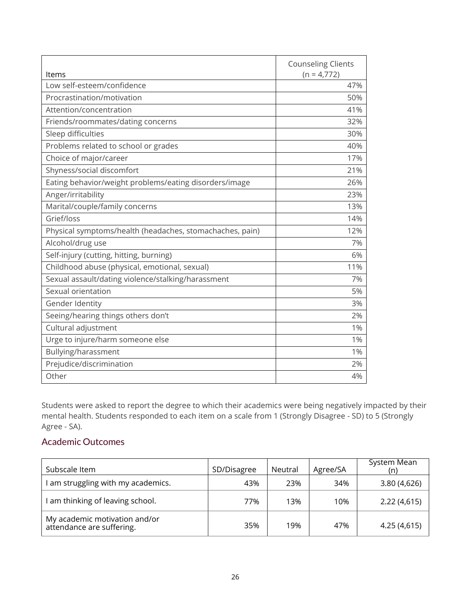|                                                          | <b>Counseling Clients</b> |
|----------------------------------------------------------|---------------------------|
| Items                                                    | $(n = 4,772)$             |
| Low self-esteem/confidence                               | 47%                       |
| Procrastination/motivation                               | 50%                       |
| Attention/concentration                                  | 41%                       |
| Friends/roommates/dating concerns                        | 32%                       |
| Sleep difficulties                                       | 30%                       |
| Problems related to school or grades                     | 40%                       |
| Choice of major/career                                   | 17%                       |
| Shyness/social discomfort                                | 21%                       |
| Eating behavior/weight problems/eating disorders/image   | 26%                       |
| Anger/irritability                                       | 23%                       |
| Marital/couple/family concerns                           | 13%                       |
| Grief/loss                                               | 14%                       |
| Physical symptoms/health (headaches, stomachaches, pain) | 12%                       |
| Alcohol/drug use                                         | 7%                        |
| Self-injury (cutting, hitting, burning)                  | 6%                        |
| Childhood abuse (physical, emotional, sexual)            | 11%                       |
| Sexual assault/dating violence/stalking/harassment       | 7%                        |
| Sexual orientation                                       | 5%                        |
| Gender Identity                                          | 3%                        |
| Seeing/hearing things others don't                       | 2%                        |
| Cultural adjustment                                      | 1%                        |
| Urge to injure/harm someone else                         | 1%                        |
| Bullying/harassment                                      | 1%                        |
| Prejudice/discrimination                                 | 2%                        |
| Other                                                    | 4%                        |

Students were asked to report the degree to which their academics were being negatively impacted by their mental health. Students responded to each item on a scale from 1 (Strongly Disagree - SD) to 5 (Strongly Agree - SA).

#### <span id="page-25-0"></span>Academic Outcomes

| Subscale Item                                              | SD/Disagree | Neutral | Agree/SA | System Mean<br>(n) |
|------------------------------------------------------------|-------------|---------|----------|--------------------|
| am struggling with my academics.                           | 43%         | 23%     | 34%      | 3.80(4,626)        |
| am thinking of leaving school.                             | 77%         | 13%     | 10%      | 2.22(4,615)        |
| My academic motivation and/or<br>attendance are suffering. | 35%         | 19%     | 47%      | 4.25 (4,615)       |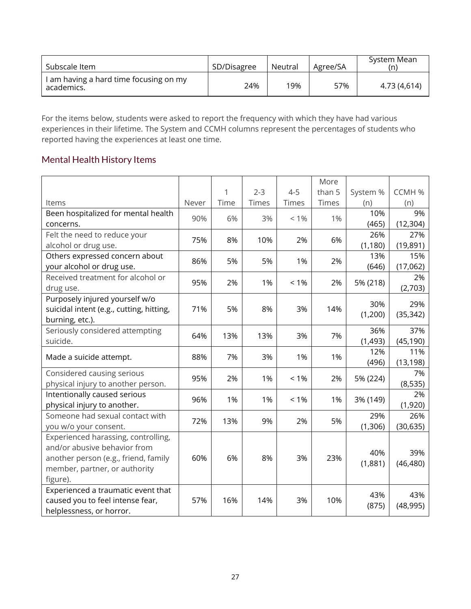| Subscale Item                                        | SD/Disagree | Neutral | Agree/SA | System Mean<br>(n) |
|------------------------------------------------------|-------------|---------|----------|--------------------|
| I am having a hard time focusing on my<br>academics. | 24%         | 19%     | 57%      | 4.73 (4.614)       |

For the items below, students were asked to report the frequency with which they have had various experiences in their lifetime. The System and CCMH columns represent the percentages of students who reported having the experiences at least one time.

#### <span id="page-26-0"></span>Mental Health History Items

|                                          |       |      |                                  |         | More     |          |           |         |         |           |  |  |  |  |  |  |  |  |  |  |  |  |  |  |  |  |  |         |    |
|------------------------------------------|-------|------|----------------------------------|---------|----------|----------|-----------|---------|---------|-----------|--|--|--|--|--|--|--|--|--|--|--|--|--|--|--|--|--|---------|----|
|                                          |       | 1    | $2 - 3$                          | $4 - 5$ | than 5   | System % | CCMH %    |         |         |           |  |  |  |  |  |  |  |  |  |  |  |  |  |  |  |  |  |         |    |
| Items                                    | Never | Time | Times                            | Times   | Times    | (n)      | (n)       |         |         |           |  |  |  |  |  |  |  |  |  |  |  |  |  |  |  |  |  |         |    |
| Been hospitalized for mental health      |       |      |                                  |         |          |          |           | 10%     | 9%      |           |  |  |  |  |  |  |  |  |  |  |  |  |  |  |  |  |  |         |    |
| concerns.                                | 90%   | 6%   | 3%                               | $< 1\%$ | 1%       | (465)    | (12, 304) |         |         |           |  |  |  |  |  |  |  |  |  |  |  |  |  |  |  |  |  |         |    |
| Felt the need to reduce your             |       |      |                                  |         |          | 26%      | 27%       |         |         |           |  |  |  |  |  |  |  |  |  |  |  |  |  |  |  |  |  |         |    |
| alcohol or drug use.                     | 75%   | 8%   | 10%                              | 2%      | 6%       | (1, 180) | (19, 891) |         |         |           |  |  |  |  |  |  |  |  |  |  |  |  |  |  |  |  |  |         |    |
| Others expressed concern about           |       |      |                                  |         |          | 13%      | 15%       |         |         |           |  |  |  |  |  |  |  |  |  |  |  |  |  |  |  |  |  |         |    |
| your alcohol or drug use.                | 86%   | 5%   | 5%                               | 1%      | 2%       | (646)    | (17,062)  |         |         |           |  |  |  |  |  |  |  |  |  |  |  |  |  |  |  |  |  |         |    |
| Received treatment for alcohol or        |       |      |                                  |         |          |          | 2%        |         |         |           |  |  |  |  |  |  |  |  |  |  |  |  |  |  |  |  |  |         |    |
| drug use.                                | 95%   | 2%   | 1%                               | $< 1\%$ | 2%       |          | 5% (218)  | (2,703) |         |           |  |  |  |  |  |  |  |  |  |  |  |  |  |  |  |  |  |         |    |
| Purposely injured yourself w/o           |       |      |                                  |         |          |          |           |         |         |           |  |  |  |  |  |  |  |  |  |  |  |  |  |  |  |  |  |         |    |
| suicidal intent (e.g., cutting, hitting, | 71%   | 5%   | 8%                               | 3%      | 14%      | 30%      | 29%       |         |         |           |  |  |  |  |  |  |  |  |  |  |  |  |  |  |  |  |  |         |    |
| burning, etc.).                          |       |      |                                  |         |          |          |           |         | (1,200) | (35, 342) |  |  |  |  |  |  |  |  |  |  |  |  |  |  |  |  |  |         |    |
| Seriously considered attempting          |       |      |                                  |         |          | 36%      | 37%       |         |         |           |  |  |  |  |  |  |  |  |  |  |  |  |  |  |  |  |  |         |    |
| suicide.                                 | 64%   | 13%  | 13%                              | 3%      | 7%       | (1, 493) | (45, 190) |         |         |           |  |  |  |  |  |  |  |  |  |  |  |  |  |  |  |  |  |         |    |
|                                          |       |      |                                  |         |          | 12%      | 11%       |         |         |           |  |  |  |  |  |  |  |  |  |  |  |  |  |  |  |  |  |         |    |
| Made a suicide attempt.                  | 88%   | 7%   | 3%                               | 1%      | 1%       | (496)    | (13, 198) |         |         |           |  |  |  |  |  |  |  |  |  |  |  |  |  |  |  |  |  |         |    |
| Considered causing serious               |       | 2%   | 1%                               |         |          |          | 7%        |         |         |           |  |  |  |  |  |  |  |  |  |  |  |  |  |  |  |  |  |         |    |
| physical injury to another person.       | 95%   |      |                                  |         |          |          |           |         |         |           |  |  |  |  |  |  |  |  |  |  |  |  |  |  |  |  |  | $< 1\%$ | 2% |
| Intentionally caused serious             |       |      |                                  |         |          |          | 2%        |         |         |           |  |  |  |  |  |  |  |  |  |  |  |  |  |  |  |  |  |         |    |
| physical injury to another.              |       |      | 96%<br>1%<br>$< 1\%$<br>1%<br>1% |         | 3% (149) | (1,920)  |           |         |         |           |  |  |  |  |  |  |  |  |  |  |  |  |  |  |  |  |  |         |    |
| Someone had sexual contact with          |       |      |                                  |         |          | 29%      | 26%       |         |         |           |  |  |  |  |  |  |  |  |  |  |  |  |  |  |  |  |  |         |    |
| you w/o your consent.                    | 72%   | 13%  | 9%                               | 2%      | 5%       | (1,306)  | (30, 635) |         |         |           |  |  |  |  |  |  |  |  |  |  |  |  |  |  |  |  |  |         |    |
| Experienced harassing, controlling,      |       |      |                                  |         |          |          |           |         |         |           |  |  |  |  |  |  |  |  |  |  |  |  |  |  |  |  |  |         |    |
| and/or abusive behavior from             |       |      |                                  |         |          |          |           |         |         |           |  |  |  |  |  |  |  |  |  |  |  |  |  |  |  |  |  |         |    |
| another person (e.g., friend, family     | 60%   | 6%   | 8%                               | 3%      | 23%      | 40%      | 39%       |         |         |           |  |  |  |  |  |  |  |  |  |  |  |  |  |  |  |  |  |         |    |
| member, partner, or authority            |       |      |                                  |         |          | (1,881)  | (46, 480) |         |         |           |  |  |  |  |  |  |  |  |  |  |  |  |  |  |  |  |  |         |    |
| figure).                                 |       |      |                                  |         |          |          |           |         |         |           |  |  |  |  |  |  |  |  |  |  |  |  |  |  |  |  |  |         |    |
| Experienced a traumatic event that       |       |      |                                  |         |          |          |           |         |         |           |  |  |  |  |  |  |  |  |  |  |  |  |  |  |  |  |  |         |    |
| caused you to feel intense fear,         | 57%   | 16%  | 14%                              | 3%      | 10%      | 43%      | 43%       |         |         |           |  |  |  |  |  |  |  |  |  |  |  |  |  |  |  |  |  |         |    |
| helplessness, or horror.                 |       |      |                                  |         |          | (875)    | (48, 995) |         |         |           |  |  |  |  |  |  |  |  |  |  |  |  |  |  |  |  |  |         |    |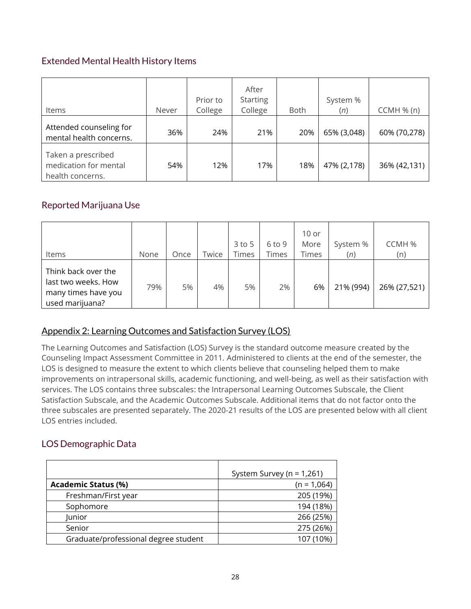#### <span id="page-27-0"></span>Extended Mental Health History Items

| Items                                                           | Never | Prior to<br>College | After<br><b>Starting</b><br>College | Both | System %<br>(n) | CCMH % (n)   |
|-----------------------------------------------------------------|-------|---------------------|-------------------------------------|------|-----------------|--------------|
| Attended counseling for<br>mental health concerns.              | 36%   | 24%                 | 21%                                 | 20%  | 65% (3,048)     | 60% (70,278) |
| Taken a prescribed<br>medication for mental<br>health concerns. | 54%   | 12%                 | 17%                                 | 18%  | 47% (2,178)     | 36% (42,131) |

#### <span id="page-27-1"></span>Reported Marijuana Use

| Items                                                                                | None | Once | Twice | $3$ to 5<br><b>Times</b> | $6$ to 9<br>Times | $10$ or<br>More<br><b>Times</b> | System %<br>(n) | CCMH %<br>(n) |
|--------------------------------------------------------------------------------------|------|------|-------|--------------------------|-------------------|---------------------------------|-----------------|---------------|
| Think back over the<br>last two weeks. How<br>many times have you<br>used marijuana? | 79%  | 5%   | 4%    | 5%                       | 2%                | 6%                              | 21% (994)       | 26% (27,521)  |

#### <span id="page-27-2"></span>Appendix 2: Learning Outcomes and Satisfaction Survey (LOS)

The Learning Outcomes and Satisfaction (LOS) Survey is the standard outcome measure created by the Counseling Impact Assessment Committee in 2011. Administered to clients at the end of the semester, the LOS is designed to measure the extent to which clients believe that counseling helped them to make improvements on intrapersonal skills, academic functioning, and well-being, as well as their satisfaction with services. The LOS contains three subscales: the Intrapersonal Learning Outcomes Subscale, the Client Satisfaction Subscale, and the Academic Outcomes Subscale. Additional items that do not factor onto the three subscales are presented separately. The 2020-21 results of the LOS are presented below with all client LOS entries included.

#### <span id="page-27-3"></span>LOS Demographic Data

|                                      | System Survey ( $n = 1,261$ ) |
|--------------------------------------|-------------------------------|
| <b>Academic Status (%)</b>           | $(n = 1,064)$                 |
| Freshman/First year                  | 205 (19%)                     |
| Sophomore                            | 194 (18%)                     |
| Junior                               | 266 (25%)                     |
| Senior                               | 275 (26%)                     |
| Graduate/professional degree student | 107 (10%)                     |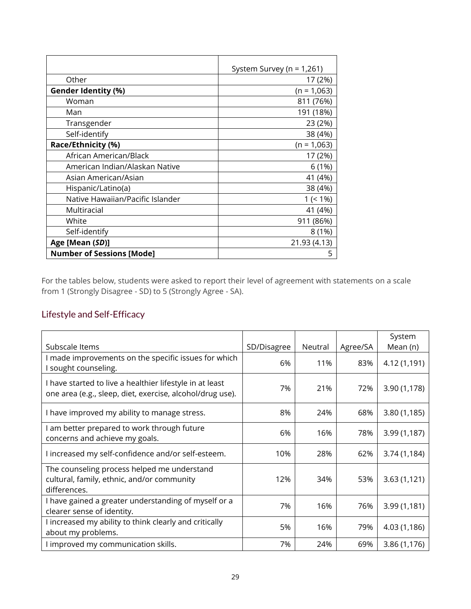|                                  | System Survey ( $n = 1,261$ ) |
|----------------------------------|-------------------------------|
| Other                            | 17 (2%)                       |
| Gender Identity (%)              | (n = 1,063)                   |
| Woman                            | 811 (76%)                     |
| Man                              | 191 (18%)                     |
| Transgender                      | 23 (2%)                       |
| Self-identify                    | 38 (4%)                       |
| Race/Ethnicity (%)               | $(n = 1,063)$                 |
| African American/Black           | 17 (2%)                       |
| American Indian/Alaskan Native   | 6(1%)                         |
| Asian American/Asian             | 41 (4%)                       |
| Hispanic/Latino(a)               | 38 (4%)                       |
| Native Hawaiian/Pacific Islander | $1 (< 1\%)$                   |
| Multiracial                      | 41 (4%)                       |
| White                            | 911 (86%)                     |
| Self-identify                    | 8(1%)                         |
| Age [Mean (SD)]                  | 21.93 (4.13)                  |
| <b>Number of Sessions [Mode]</b> | 5                             |

For the tables below, students were asked to report their level of agreement with statements on a scale from 1 (Strongly Disagree - SD) to 5 (Strongly Agree - SA).

## <span id="page-28-0"></span>Lifestyle and Self-Efficacy

| Subscale Items                                                                                                        | SD/Disagree | Neutral | Agree/SA | System<br>Mean (n) |
|-----------------------------------------------------------------------------------------------------------------------|-------------|---------|----------|--------------------|
| I made improvements on the specific issues for which<br>I sought counseling.                                          | 6%          | 11%     | 83%      | 4.12 (1,191)       |
| I have started to live a healthier lifestyle in at least<br>one area (e.g., sleep, diet, exercise, alcohol/drug use). | 7%          | 21%     | 72%      | 3.90 (1,178)       |
| I have improved my ability to manage stress.                                                                          | 8%          | 24%     | 68%      | 3.80(1,185)        |
| I am better prepared to work through future<br>concerns and achieve my goals.                                         | 6%          | 16%     | 78%      | 3.99(1,187)        |
| I increased my self-confidence and/or self-esteem.                                                                    | 10%         | 28%     | 62%      | 3.74 (1,184)       |
| The counseling process helped me understand<br>cultural, family, ethnic, and/or community<br>differences.             | 12%         | 34%     | 53%      | 3.63(1,121)        |
| I have gained a greater understanding of myself or a<br>clearer sense of identity.                                    | 7%          | 16%     | 76%      | 3.99(1,181)        |
| I increased my ability to think clearly and critically<br>about my problems.                                          | 5%          | 16%     | 79%      | 4.03 (1,186)       |
| I improved my communication skills.                                                                                   | 7%          | 24%     | 69%      | 3.86(1,176)        |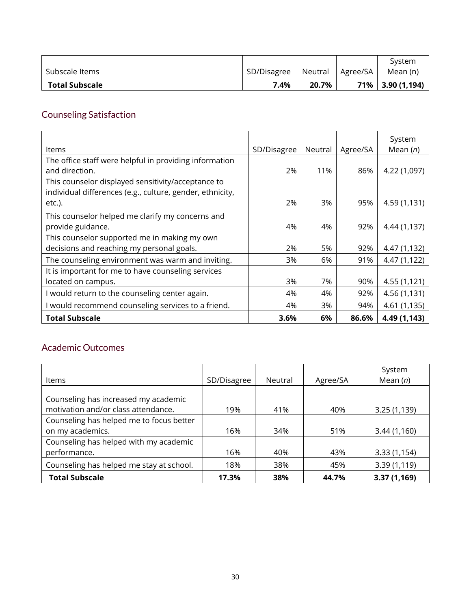|                |             |         |          | System      |
|----------------|-------------|---------|----------|-------------|
| Subscale Items | SD/Disagree | Neutral | Agree/SA | Mean (n)    |
| Total Subscale | 7.4%        | 20.7%   | 71% ∣    | 3.90(1,194) |

# <span id="page-29-0"></span>Counseling Satisfaction

| <b>Items</b>                                              | SD/Disagree | Neutral | Agree/SA | System<br>Mean $(n)$ |
|-----------------------------------------------------------|-------------|---------|----------|----------------------|
| The office staff were helpful in providing information    |             |         |          |                      |
| and direction.                                            | 2%          | 11%     | 86%      | 4.22 (1,097)         |
| This counselor displayed sensitivity/acceptance to        |             |         |          |                      |
| individual differences (e.g., culture, gender, ethnicity, |             |         |          |                      |
| $etc.$ ).                                                 | 2%          | 3%      | 95%      | 4.59 (1,131)         |
| This counselor helped me clarify my concerns and          |             |         |          |                      |
| provide guidance.                                         | 4%          | 4%      | 92%      | 4.44 (1,137)         |
| This counselor supported me in making my own              |             |         |          |                      |
| decisions and reaching my personal goals.                 | 2%          | 5%      | 92%      | 4.47 (1,132)         |
| The counseling environment was warm and inviting.         | 3%          | 6%      | 91%      | 4.47 (1,122)         |
| It is important for me to have counseling services        |             |         |          |                      |
| located on campus.                                        | 3%          | 7%      | 90%      | 4.55 (1,121)         |
| would return to the counseling center again.              | 4%          | 4%      | 92%      | 4.56(1,131)          |
| would recommend counseling services to a friend.          | 4%          | 3%      | 94%      | 4.61 (1,135)         |
| <b>Total Subscale</b>                                     | 3.6%        | 6%      | 86.6%    | 4.49 (1,143)         |

## <span id="page-29-1"></span>Academic Outcomes

<span id="page-29-2"></span>

|                                          |             |         |          | System      |
|------------------------------------------|-------------|---------|----------|-------------|
| Items                                    | SD/Disagree | Neutral | Agree/SA | Mean $(n)$  |
|                                          |             |         |          |             |
| Counseling has increased my academic     |             |         |          |             |
| motivation and/or class attendance.      | 19%         | 41%     | 40%      | 3.25(1,139) |
| Counseling has helped me to focus better |             |         |          |             |
| on my academics.                         | 16%         | 34%     | 51%      | 3.44(1,160) |
| Counseling has helped with my academic   |             |         |          |             |
| performance.                             | 16%         | 40%     | 43%      | 3.33(1,154) |
| Counseling has helped me stay at school. | 18%         | 38%     | 45%      | 3.39(1,119) |
| <b>Total Subscale</b>                    | 17.3%       | 38%     | 44.7%    | 3.37(1,169) |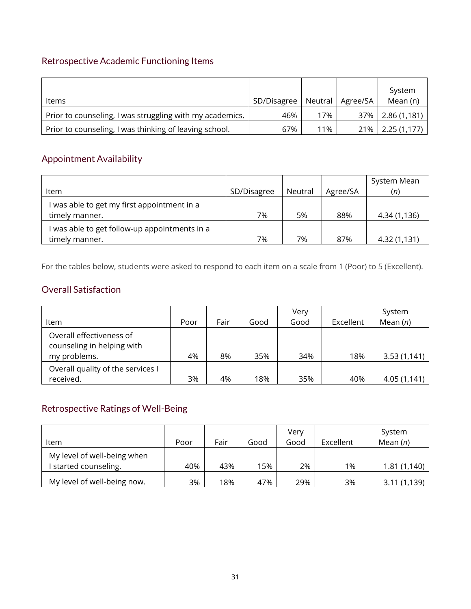# Retrospective Academic Functioning Items

| ltems                                                    | SD/Disagree | Neutral | Agree/SA | System<br>Mean (n)    |
|----------------------------------------------------------|-------------|---------|----------|-----------------------|
| Prior to counseling, I was struggling with my academics. | 46%         | 7%      |          | $37\%$   2.86 (1,181) |
| Prior to counseling, I was thinking of leaving school.   | 67%         | 11%     |          | $21\%$   2.25 (1,177) |

## <span id="page-30-0"></span>Appointment Availability

|                                               |             |         |          | System Mean  |
|-----------------------------------------------|-------------|---------|----------|--------------|
| Item                                          | SD/Disagree | Neutral | Agree/SA | (n)          |
| I was able to get my first appointment in a   |             |         |          |              |
| timely manner.                                | 7%          | 5%      | 88%      | 4.34 (1,136) |
| I was able to get follow-up appointments in a |             |         |          |              |
| timely manner.                                | 7%          | 7%      | 87%      | 4.32 (1,131) |

For the tables below, students were asked to respond to each item on a scale from 1 (Poor) to 5 (Excellent).

#### <span id="page-30-1"></span>Overall Satisfaction

|                                                                        |      |      |      | Very |           | System       |
|------------------------------------------------------------------------|------|------|------|------|-----------|--------------|
| Item                                                                   | Poor | Fair | Good | Good | Excellent | Mean $(n)$   |
| Overall effectiveness of<br>counseling in helping with<br>my problems. | 4%   | 8%   | 35%  | 34%  | 18%       | 3.53(1,141)  |
| Overall quality of the services I<br>received.                         | 3%   | 4%   | 18%  | 35%  | 40%       | 4.05 (1,141) |

## <span id="page-30-2"></span>Retrospective Ratings of Well-Being

<span id="page-30-3"></span>

| ltem                                               | Poor | Fair | Good | Very<br>Good | Excellent | System<br>Mean $(n)$ |
|----------------------------------------------------|------|------|------|--------------|-----------|----------------------|
| My level of well-being when<br>started counseling. | 40%  | 43%  | 15%  | 2%           | 1%        | 1.81(1,140)          |
| My level of well-being now.                        | 3%   | 18%  | 47%  | 29%          | 3%        | 3.11(1,139)          |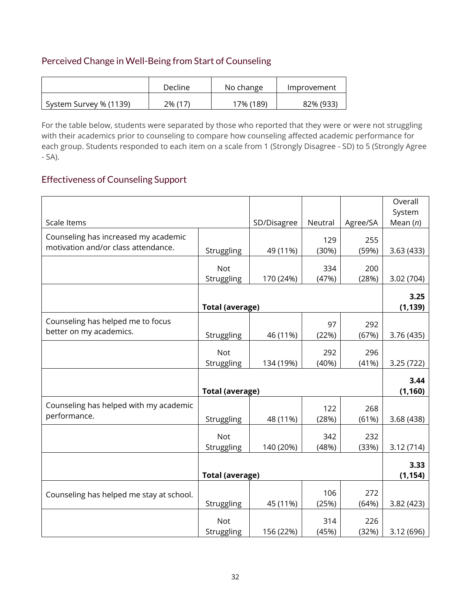#### Perceived Change in Well-Being from Start of Counseling

|                        | <b>Decline</b> | No change | Improvement |
|------------------------|----------------|-----------|-------------|
| System Survey % (1139) | 2% (17)        | 17% (189) | 82% (933)   |

For the table below, students were separated by those who reported that they were or were not struggling with their academics prior to counseling to compare how counseling affected academic performance for each group. Students responded to each item on a scale from 1 (Strongly Disagree - SD) to 5 (Strongly Agree - SA).

#### <span id="page-31-0"></span>Effectiveness of Counseling Support

|                                          |                        |             |         |          | Overall    |
|------------------------------------------|------------------------|-------------|---------|----------|------------|
|                                          |                        |             |         |          | System     |
| Scale Items                              |                        | SD/Disagree | Neutral | Agree/SA | Mean $(n)$ |
| Counseling has increased my academic     |                        |             | 129     | 255      |            |
| motivation and/or class attendance.      | Struggling             | 49 (11%)    | (30%)   | (59%)    | 3.63(433)  |
|                                          |                        |             |         |          |            |
|                                          | <b>Not</b>             |             | 334     | 200      |            |
|                                          | Struggling             | 170 (24%)   | (47%)   | (28%)    | 3.02 (704) |
|                                          |                        |             |         |          |            |
|                                          |                        |             |         |          | 3.25       |
|                                          | <b>Total (average)</b> |             |         |          | (1, 139)   |
| Counseling has helped me to focus        |                        |             | 97      | 292      |            |
| better on my academics.                  | Struggling             | 46 (11%)    | (22%)   | (67%)    | 3.76 (435) |
|                                          |                        |             |         |          |            |
|                                          | <b>Not</b>             |             | 292     | 296      |            |
|                                          | Struggling             | 134 (19%)   | (40%)   | (41%)    | 3.25(722)  |
|                                          |                        |             |         |          | 3.44       |
|                                          | <b>Total (average)</b> |             |         |          | (1, 160)   |
| Counseling has helped with my academic   |                        |             |         |          |            |
| performance.                             |                        |             | 122     | 268      |            |
|                                          | Struggling             | 48 (11%)    | (28%)   | (61%)    | 3.68(438)  |
|                                          | <b>Not</b>             |             | 342     | 232      |            |
|                                          | Struggling             | 140 (20%)   | (48%)   | (33%)    | 3.12(714)  |
|                                          |                        |             |         |          |            |
|                                          |                        |             |         |          | 3.33       |
|                                          | <b>Total (average)</b> |             |         |          | (1, 154)   |
| Counseling has helped me stay at school. |                        |             | 106     | 272      |            |
|                                          | Struggling             | 45 (11%)    | (25%)   | (64%)    | 3.82(423)  |
|                                          |                        |             |         |          |            |
|                                          | <b>Not</b>             |             | 314     | 226      |            |
|                                          | Struggling             | 156 (22%)   | (45%)   | (32%)    | 3.12(696)  |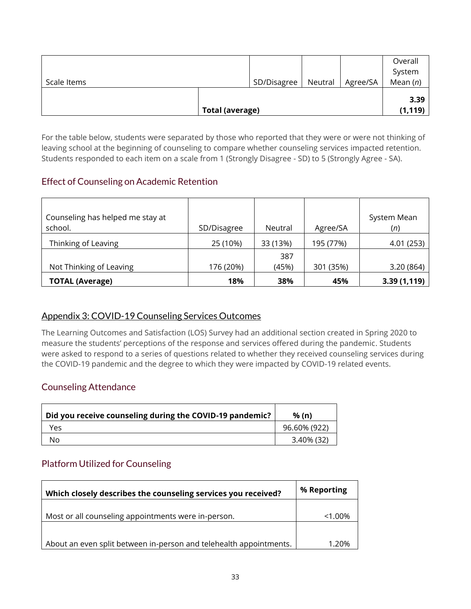| Scale Items |                 | SD/Disagree | Neutral | Agree/SA | Overall<br>System<br>Mean $(n)$ |
|-------------|-----------------|-------------|---------|----------|---------------------------------|
|             | Total (average) |             |         |          | 3.39<br>(1, 119)                |

For the table below, students were separated by those who reported that they were or were not thinking of leaving school at the beginning of counseling to compare whether counseling services impacted retention. Students responded to each item on a scale from 1 (Strongly Disagree - SD) to 5 (Strongly Agree - SA).

#### <span id="page-32-0"></span>Effect of Counseling on Academic Retention

| Counseling has helped me stay at<br>school. | SD/Disagree | Neutral  | Agree/SA  | System Mean<br>(n) |
|---------------------------------------------|-------------|----------|-----------|--------------------|
| Thinking of Leaving                         | 25 (10%)    | 33 (13%) | 195 (77%) | 4.01 (253)         |
|                                             |             | 387      |           |                    |
| Not Thinking of Leaving                     | 176 (20%)   | (45%)    | 301 (35%) | 3.20(864)          |
| <b>TOTAL (Average)</b>                      | 18%         | 38%      | 45%       | 3.39(1,119)        |

#### <span id="page-32-1"></span>Appendix 3: COVID-19 Counseling Services Outcomes

The Learning Outcomes and Satisfaction (LOS) Survey had an additional section created in Spring 2020 to measure the students' perceptions of the response and services offered during the pandemic. Students were asked to respond to a series of questions related to whether they received counseling services during the COVID-19 pandemic and the degree to which they were impacted by COVID-19 related events.

#### <span id="page-32-2"></span>Counseling Attendance

| Did you receive counseling during the COVID-19 pandemic? | % (n)        |
|----------------------------------------------------------|--------------|
| Yes                                                      | 96.60% (922) |
| N٥                                                       | 3.40% (32)   |

#### <span id="page-32-3"></span>Platform Utilized for Counseling

| Which closely describes the counseling services you received?      | % Reporting |
|--------------------------------------------------------------------|-------------|
| Most or all counseling appointments were in-person.                | $< 1.00\%$  |
|                                                                    |             |
| About an even split between in-person and telehealth appointments. | 1.20%       |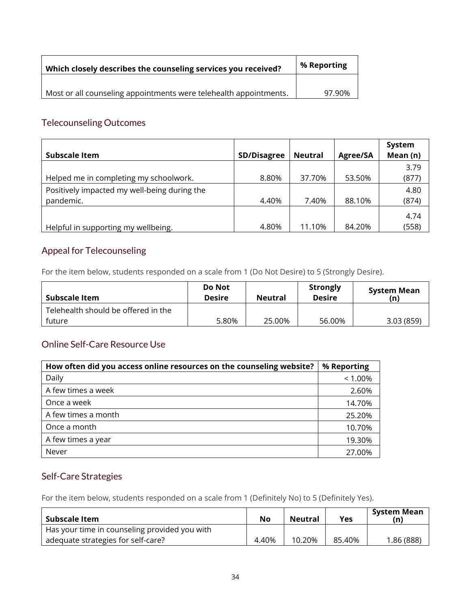| Which closely describes the counseling services you received?     | % Reporting |
|-------------------------------------------------------------------|-------------|
|                                                                   |             |
| Most or all counseling appointments were telehealth appointments. | 97.90%      |

#### <span id="page-33-0"></span>Telecounseling Outcomes

| <b>Subscale Item</b>                         | <b>SD/Disagree</b> | <b>Neutral</b> | Agree/SA | System<br>Mean (n) |
|----------------------------------------------|--------------------|----------------|----------|--------------------|
|                                              |                    |                |          | 3.79               |
| Helped me in completing my schoolwork.       | 8.80%              | 37.70%         | 53.50%   | (877)              |
| Positively impacted my well-being during the |                    |                |          | 4.80               |
| pandemic.                                    | 4.40%              | 7.40%          | 88.10%   | (874)              |
|                                              |                    |                |          | 4.74               |
| Helpful in supporting my wellbeing.          | 4.80%              | 11.10%         | 84.20%   | (558)              |

# <span id="page-33-1"></span>Appeal for Telecounseling

For the item below, students responded on a scale from 1 (Do Not Desire) to 5 (Strongly Desire).

| Subscale Item                                 | <b>Do Not</b><br><b>Desire</b> | <b>Neutral</b> | <b>Strongly</b><br><b>Desire</b> | <b>System Mean</b><br>(n) |
|-----------------------------------------------|--------------------------------|----------------|----------------------------------|---------------------------|
| Telehealth should be offered in the<br>future | 5.80%                          | 25.00%         | 56.00%                           | 3.03(859)                 |

## <span id="page-33-2"></span>Online Self-Care Resource Use

| How often did you access online resources on the counseling website? | % Reporting |
|----------------------------------------------------------------------|-------------|
| Daily                                                                | $< 1.00\%$  |
| A few times a week                                                   | 2.60%       |
| Once a week                                                          | 14.70%      |
| A few times a month                                                  | 25.20%      |
| Once a month                                                         | 10.70%      |
| A few times a year                                                   | 19.30%      |
| Never                                                                | 27.00%      |

#### <span id="page-33-3"></span>Self-Care Strategies

For the item below, students responded on a scale from 1 (Definitely No) to 5 (Definitely Yes).

| Subscale Item                                 | No    | Neutral | Yes    | System Mean<br>(n) |
|-----------------------------------------------|-------|---------|--------|--------------------|
| Has your time in counseling provided you with |       |         |        |                    |
| adequate strategies for self-care?            | 4.40% | 10.20%  | 85.40% | 1.86 (888)         |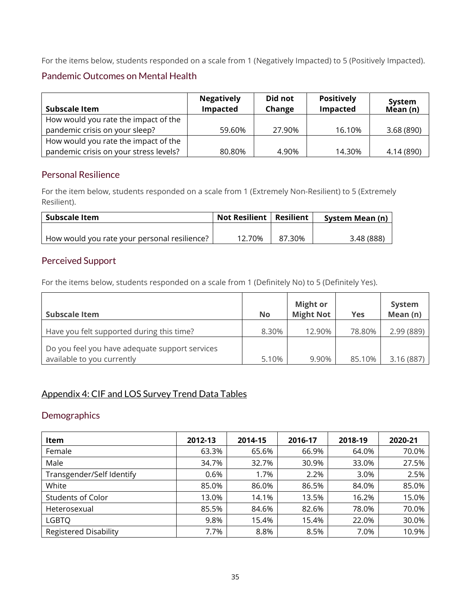For the items below, students responded on a scale from 1 (Negatively Impacted) to 5 (Positively Impacted).

#### <span id="page-34-0"></span>Pandemic Outcomes on Mental Health

| Subscale Item                          | <b>Negatively</b><br>Impacted | Did not<br>Change | <b>Positively</b><br>Impacted | System<br>Mean (n) |
|----------------------------------------|-------------------------------|-------------------|-------------------------------|--------------------|
| How would you rate the impact of the   |                               |                   |                               |                    |
| pandemic crisis on your sleep?         | 59.60%                        | 27.90%            | 16.10%                        | 3.68(890)          |
| How would you rate the impact of the   |                               |                   |                               |                    |
| pandemic crisis on your stress levels? | 80.80%                        | 4.90%             | 14.30%                        | 4.14 (890)         |

#### <span id="page-34-1"></span>Personal Resilience

For the item below, students responded on a scale from 1 (Extremely Non-Resilient) to 5 (Extremely Resilient).

| Subscale Item                                | <b>Not Resilient   Resilient</b> |        | System Mean (n) |
|----------------------------------------------|----------------------------------|--------|-----------------|
|                                              |                                  |        |                 |
| How would you rate your personal resilience? | 12.70%                           | 87.30% | 3.48 (888)      |

#### <span id="page-34-2"></span>Perceived Support

For the items below, students responded on a scale from 1 (Definitely No) to 5 (Definitely Yes).

| <b>Subscale Item</b>                                                         | <b>No</b> | <b>Might or</b><br><b>Might Not</b> | <b>Yes</b> | System<br>Mean (n) |
|------------------------------------------------------------------------------|-----------|-------------------------------------|------------|--------------------|
| Have you felt supported during this time?                                    | 8.30%     | 12.90%                              | 78.80%     | 2.99 (889)         |
| Do you feel you have adequate support services<br>available to you currently | 5.10%     | 9.90%                               | 85.10%     | 3.16(887)          |

#### <span id="page-34-3"></span>Appendix 4: CIF and LOS Survey Trend Data Tables

#### <span id="page-34-4"></span>**Demographics**

| <b>Item</b>                  | 2012-13 | 2014-15 | 2016-17 | 2018-19 | 2020-21 |
|------------------------------|---------|---------|---------|---------|---------|
| Female                       | 63.3%   | 65.6%   | 66.9%   | 64.0%   | 70.0%   |
| Male                         | 34.7%   | 32.7%   | 30.9%   | 33.0%   | 27.5%   |
| Transgender/Self Identify    | 0.6%    | 1.7%    | 2.2%    | 3.0%    | 2.5%    |
| White                        | 85.0%   | 86.0%   | 86.5%   | 84.0%   | 85.0%   |
| <b>Students of Color</b>     | 13.0%   | 14.1%   | 13.5%   | 16.2%   | 15.0%   |
| Heterosexual                 | 85.5%   | 84.6%   | 82.6%   | 78.0%   | 70.0%   |
| <b>LGBTQ</b>                 | 9.8%    | 15.4%   | 15.4%   | 22.0%   | 30.0%   |
| <b>Registered Disability</b> | 7.7%    | 8.8%    | 8.5%    | 7.0%    | 10.9%   |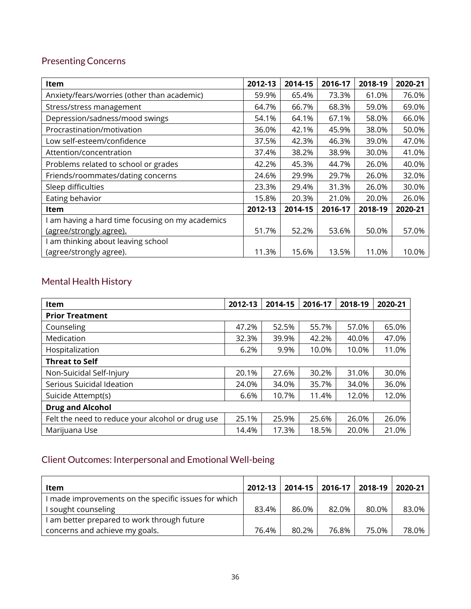# <span id="page-35-0"></span>Presenting Concerns

| <b>Item</b>                                    | 2012-13 | 2014-15 | 2016-17 | 2018-19 | 2020-21 |
|------------------------------------------------|---------|---------|---------|---------|---------|
| Anxiety/fears/worries (other than academic)    | 59.9%   | 65.4%   | 73.3%   | 61.0%   | 76.0%   |
| Stress/stress management                       | 64.7%   | 66.7%   | 68.3%   | 59.0%   | 69.0%   |
| Depression/sadness/mood swings                 | 54.1%   | 64.1%   | 67.1%   | 58.0%   | 66.0%   |
| Procrastination/motivation                     | 36.0%   | 42.1%   | 45.9%   | 38.0%   | 50.0%   |
| Low self-esteem/confidence                     | 37.5%   | 42.3%   | 46.3%   | 39.0%   | 47.0%   |
| Attention/concentration                        | 37.4%   | 38.2%   | 38.9%   | 30.0%   | 41.0%   |
| Problems related to school or grades           | 42.2%   | 45.3%   | 44.7%   | 26.0%   | 40.0%   |
| Friends/roommates/dating concerns              | 24.6%   | 29.9%   | 29.7%   | 26.0%   | 32.0%   |
| Sleep difficulties                             | 23.3%   | 29.4%   | 31.3%   | 26.0%   | 30.0%   |
| Eating behavior                                | 15.8%   | 20.3%   | 21.0%   | 20.0%   | 26.0%   |
| <b>Item</b>                                    | 2012-13 | 2014-15 | 2016-17 | 2018-19 | 2020-21 |
| am having a hard time focusing on my academics |         |         |         |         |         |
| (agree/strongly agree).                        | 51.7%   | 52.2%   | 53.6%   | 50.0%   | 57.0%   |
| am thinking about leaving school               |         |         |         |         |         |
| (agree/strongly agree).                        | 11.3%   | 15.6%   | 13.5%   | 11.0%   | 10.0%   |

# <span id="page-35-1"></span>Mental Health History

| <b>Item</b>                                      | 2012-13 | 2014-15 | 2016-17 | 2018-19 | 2020-21 |  |  |
|--------------------------------------------------|---------|---------|---------|---------|---------|--|--|
| <b>Prior Treatment</b>                           |         |         |         |         |         |  |  |
| Counseling                                       | 47.2%   | 52.5%   | 55.7%   | 57.0%   | 65.0%   |  |  |
| Medication                                       | 32.3%   | 39.9%   | 42.2%   | 40.0%   | 47.0%   |  |  |
| Hospitalization                                  | 6.2%    | 9.9%    | 10.0%   | 10.0%   | 11.0%   |  |  |
| <b>Threat to Self</b>                            |         |         |         |         |         |  |  |
| Non-Suicidal Self-Injury                         | 20.1%   | 27.6%   | 30.2%   | 31.0%   | 30.0%   |  |  |
| Serious Suicidal Ideation                        | 24.0%   | 34.0%   | 35.7%   | 34.0%   | 36.0%   |  |  |
| Suicide Attempt(s)                               | 6.6%    | 10.7%   | 11.4%   | 12.0%   | 12.0%   |  |  |
| <b>Drug and Alcohol</b>                          |         |         |         |         |         |  |  |
| Felt the need to reduce your alcohol or drug use | 25.1%   | 25.9%   | 25.6%   | 26.0%   | 26.0%   |  |  |
| Marijuana Use                                    | 14.4%   | 17.3%   | 18.5%   | 20.0%   | 21.0%   |  |  |

# <span id="page-35-2"></span>Client Outcomes: Interpersonal and Emotional Well-being

| Item                                                 | $2012 - 13$ |       | 2014-15   2016-17 | 2018-19 | 2020-21 |
|------------------------------------------------------|-------------|-------|-------------------|---------|---------|
| I made improvements on the specific issues for which |             |       |                   |         |         |
| sought counseling                                    | 83.4%       | 86.0% | 82.0%             | 80.0%   | 83.0%   |
| am better prepared to work through future            |             |       |                   |         |         |
| concerns and achieve my goals.                       | 76.4%       | 80.2% | 76.8%             | 75.0%   | 78.0%   |